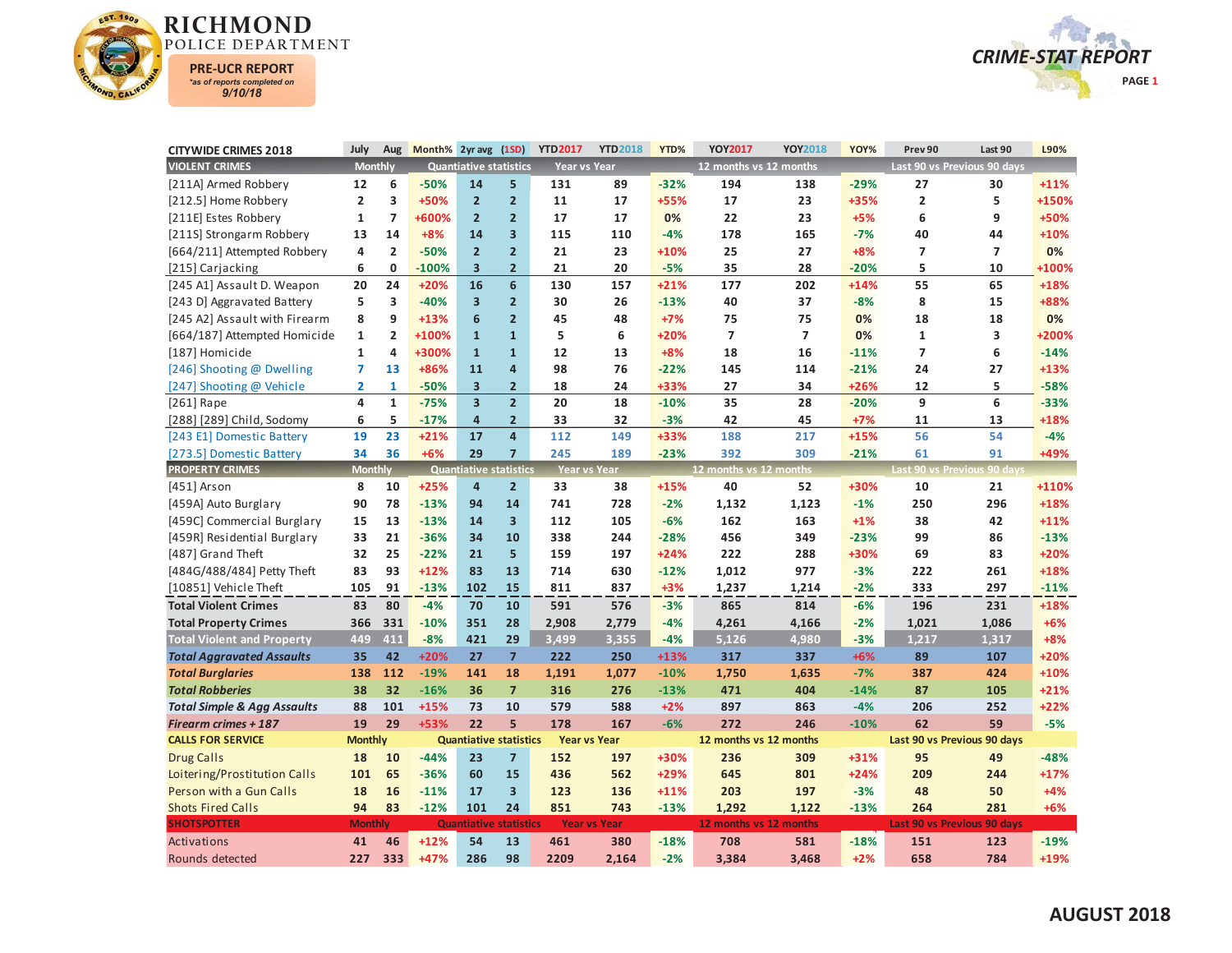



| <b>CITYWIDE CRIMES 2018</b>            | July                    | Aug            | Month% 2yr avg |                               | (1SD)                   | <b>YTD2017</b>      | <b>YTD2018</b>      | YTD%   | <b>YOY2017</b>         | YOY2018        | YOY%   | Prev 90                 | Last 90                     | L90%   |
|----------------------------------------|-------------------------|----------------|----------------|-------------------------------|-------------------------|---------------------|---------------------|--------|------------------------|----------------|--------|-------------------------|-----------------------------|--------|
| <b>VIOLENT CRIMES</b>                  | <b>Monthly</b>          |                |                | <b>Quantiative statistics</b> |                         | <b>Year vs Year</b> |                     |        | 12 months vs 12 months |                |        |                         | Last 90 vs Previous 90 days |        |
| [211A] Armed Robbery                   | 12                      | 6              | $-50%$         | 14                            | 5                       | 131                 | 89                  | $-32%$ | 194                    | 138            | $-29%$ | 27                      | 30                          | $+11%$ |
| [212.5] Home Robbery                   | $\overline{2}$          | 3              | +50%           | $\overline{2}$                | $\overline{2}$          | 11                  | 17                  | +55%   | 17                     | 23             | +35%   | $\overline{\mathbf{2}}$ | 5                           | +150%  |
| [211E] Estes Robbery                   | $\mathbf{1}$            | $\overline{ }$ | +600%          | $\overline{2}$                | $\overline{2}$          | 17                  | 17                  | 0%     | 22                     | 23             | $+5%$  | 6                       | 9                           | +50%   |
| [211S] Strongarm Robbery               | 13                      | 14             | $+8%$          | 14                            | 3                       | 115                 | 110                 | $-4%$  | 178                    | 165            | $-7%$  | 40                      | 44                          | $+10%$ |
| [664/211] Attempted Robbery            | 4                       | $\overline{2}$ | $-50%$         | $\overline{2}$                | $\overline{2}$          | 21                  | 23                  | $+10%$ | 25                     | 27             | $+8%$  | $\overline{7}$          | $\overline{7}$              | 0%     |
| [215] Carjacking                       | 6                       | 0              | $-100%$        | $\overline{\mathbf{3}}$       | $\overline{2}$          | 21                  | 20                  | $-5%$  | 35                     | 28             | $-20%$ | 5                       | 10                          | +100%  |
| [245 A1] Assault D. Weapon             | 20                      | 24             | +20%           | 16                            | 6                       | 130                 | 157                 | $+21%$ | 177                    | 202            | $+14%$ | 55                      | 65                          | +18%   |
| [243 D] Aggravated Battery             | 5                       | 3              | $-40%$         | 3                             | $\overline{2}$          | 30                  | 26                  | $-13%$ | 40                     | 37             | $-8%$  | 8                       | 15                          | +88%   |
| [245 A2] Assault with Firearm          | 8                       | 9              | $+13%$         | 6                             | $\overline{2}$          | 45                  | 48                  | $+7%$  | 75                     | 75             | 0%     | 18                      | 18                          | 0%     |
| [664/187] Attempted Homicide           | $\mathbf{1}$            | $\overline{2}$ | +100%          | $\mathbf{1}$                  | $\overline{1}$          | 5                   | 6                   | $+20%$ | $\overline{7}$         | $\overline{7}$ | 0%     | $\mathbf{1}$            | 3                           | +200%  |
| [187] Homicide                         | $\mathbf{1}$            | 4              | +300%          | $\mathbf{1}$                  | $\overline{1}$          | 12                  | 13                  | $+8%$  | 18                     | 16             | $-11%$ | $\overline{7}$          | 6                           | $-14%$ |
| [246] Shooting @ Dwelling              | $\overline{7}$          | 13             | +86%           | 11                            | $\overline{4}$          | 98                  | 76                  | $-22%$ | 145                    | 114            | $-21%$ | 24                      | 27                          | $+13%$ |
| [247] Shooting @ Vehicle               | $\overline{\mathbf{2}}$ | $\mathbf{1}$   | $-50%$         | 3                             | $\overline{2}$          | 18                  | 24                  | +33%   | 27                     | 34             | +26%   | 12                      | 5                           | $-58%$ |
| $[261]$ Rape                           | $\overline{\mathbf{4}}$ | $\mathbf{1}$   | $-75%$         | $\overline{\mathbf{3}}$       | $\overline{2}$          | 20                  | 18                  | $-10%$ | 35                     | 28             | $-20%$ | 9                       | 6                           | $-33%$ |
| [288] [289] Child, Sodomy              | 6                       | 5              | $-17%$         | $\overline{a}$                | $\overline{2}$          | 33                  | 32                  | $-3%$  | 42                     | 45             | $+7%$  | 11                      | 13                          | +18%   |
| [243 E1] Domestic Battery              | 19                      | 23             | $+21%$         | 17                            | $\overline{4}$          | 112                 | 149                 | +33%   | 188                    | 217            | $+15%$ | 56                      | 54                          | $-4%$  |
| [273.5] Domestic Battery               | 34                      | 36             | $+6%$          | 29                            | $\overline{7}$          | 245                 | 189                 | $-23%$ | 392                    | 309            | $-21%$ | 61                      | 91                          | +49%   |
| <b>PROPERTY CRIMES</b>                 | <b>Monthly</b>          |                |                | <b>Quantiative statistics</b> |                         | <b>Year vs Year</b> |                     |        | 12 months vs 12 months |                |        |                         | Last 90 vs Previous 90 days |        |
| [451] Arson                            | 8                       | 10             | $+25%$         | $\overline{4}$                | $\overline{2}$          | 33                  | 38                  | $+15%$ | 40                     | 52             | +30%   | 10                      | 21                          | +110%  |
| [459A] Auto Burglary                   | 90                      | 78             | $-13%$         | 94                            | 14                      | 741                 | 728                 | $-2%$  | 1,132                  | 1,123          | $-1%$  | 250                     | 296                         | +18%   |
| [459C] Commercial Burglary             | 15                      | 13             | $-13%$         | 14                            | $\overline{\mathbf{3}}$ | 112                 | 105                 | $-6%$  | 162                    | 163            | $+1%$  | 38                      | 42                          | $+11%$ |
| [459R] Residential Burglary            | 33                      | 21             | $-36%$         | 34                            | 10                      | 338                 | 244                 | $-28%$ | 456                    | 349            | $-23%$ | 99                      | 86                          | $-13%$ |
| [487] Grand Theft                      | 32                      | 25             | $-22%$         | 21                            | 5                       | 159                 | 197                 | $+24%$ | 222                    | 288            | +30%   | 69                      | 83                          | $+20%$ |
| [484G/488/484] Petty Theft             | 83                      | 93             | $+12%$         | 83                            | 13                      | 714                 | 630                 | $-12%$ | 1,012                  | 977            | $-3%$  | 222                     | 261                         | +18%   |
| [10851] Vehicle Theft                  | 105                     | 91             | $-13%$         | 102                           | 15                      | 811                 | 837                 | $+3%$  | 1,237                  | 1,214          | $-2%$  | 333                     | 297                         | $-11%$ |
| <b>Total Violent Crimes</b>            | 83                      | 80             | $-4%$          | 70                            | 10                      | 591                 | 576                 | $-3%$  | 865                    | 814            | $-6%$  | 196                     | 231                         | +18%   |
| <b>Total Property Crimes</b>           | 366                     | 331            | $-10%$         | 351                           | 28                      | 2,908               | 2,779               | $-4%$  | 4,261                  | 4,166          | $-2%$  | 1,021                   | 1,086                       | $+6%$  |
| <b>Total Violent and Property</b>      | 449                     | 411            | $-8%$          | 421                           | 29                      | 3,499               | 3,355               | $-4%$  | 5,126                  | 4,980          | $-3%$  | 1.217                   | 1,317                       | $+8%$  |
| <b>Total Aggravated Assaults</b>       | 35                      | 42             | $+20%$         | 27                            | $\overline{7}$          | 222                 | 250                 | $+13%$ | 317                    | 337            | $+6%$  | 89                      | 107                         | $+20%$ |
| <b>Total Burglaries</b>                | 138                     | 112            | $-19%$         | 141                           | 18                      | 1,191               | 1,077               | $-10%$ | 1,750                  | 1,635          | $-7%$  | 387                     | 424                         | $+10%$ |
| <b>Total Robberies</b>                 | 38                      | 32             | $-16%$         | 36                            | $\overline{7}$          | 316                 | 276                 | $-13%$ | 471                    | 404            | $-14%$ | 87                      | 105                         | $+21%$ |
| <b>Total Simple &amp; Agg Assaults</b> | 88                      | 101            | $+15%$         | 73                            | 10                      | 579                 | 588                 | $+2%$  | 897                    | 863            | $-4%$  | 206                     | 252                         | $+22%$ |
| <b>Firearm crimes + 187</b>            | 19                      | 29             | +53%           | 22                            | 5                       | 178                 | 167                 | $-6%$  | 272                    | 246            | $-10%$ | 62                      | 59                          | $-5%$  |
| <b>CALLS FOR SERVICE</b>               | <b>Monthly</b>          |                |                | <b>Quantiative statistics</b> |                         | <b>Year vs Year</b> |                     |        | 12 months vs 12 months |                |        |                         | Last 90 vs Previous 90 days |        |
| <b>Drug Calls</b>                      | 18                      | 10             | $-44%$         | 23                            | $\overline{7}$          | 152                 | 197                 | +30%   | 236                    | 309            | $+31%$ | 95                      | 49                          | $-48%$ |
| Loitering/Prostitution Calls           | 101                     | 65             | $-36%$         | 60                            | 15                      | 436                 | 562                 | $+29%$ | 645                    | 801            | $+24%$ | 209                     | 244                         | $+17%$ |
| Person with a Gun Calls                | 18                      | 16             | $-11%$         | 17                            | $\overline{\mathbf{3}}$ | 123                 | 136                 | $+11%$ | 203                    | 197            | $-3%$  | 48                      | 50                          | $+4%$  |
| <b>Shots Fired Calls</b>               | 94                      | 83             | $-12%$         | 101                           | 24                      | 851                 | 743                 | $-13%$ | 1,292                  | 1,122          | $-13%$ | 264                     | 281                         | $+6%$  |
| <b>SHOTSPOTTER</b>                     | <b>Monthly</b>          |                |                | <b>Quantiative statistics</b> |                         |                     | <b>Year vs Year</b> |        | 12 months vs 12 months |                |        |                         | Last 90 vs Previous 90 days |        |
| Activations                            | 41                      | 46             | $+12%$         | 54                            | 13                      | 461                 | 380                 | $-18%$ | 708                    | 581            | $-18%$ | 151                     | 123                         | $-19%$ |
| Rounds detected                        | 227                     | 333            | $+47%$         | 286                           | 98                      | 2209                | 2.164               | $-2%$  | 3.384                  | 3.468          | $+2%$  | 658                     | 784                         | +19%   |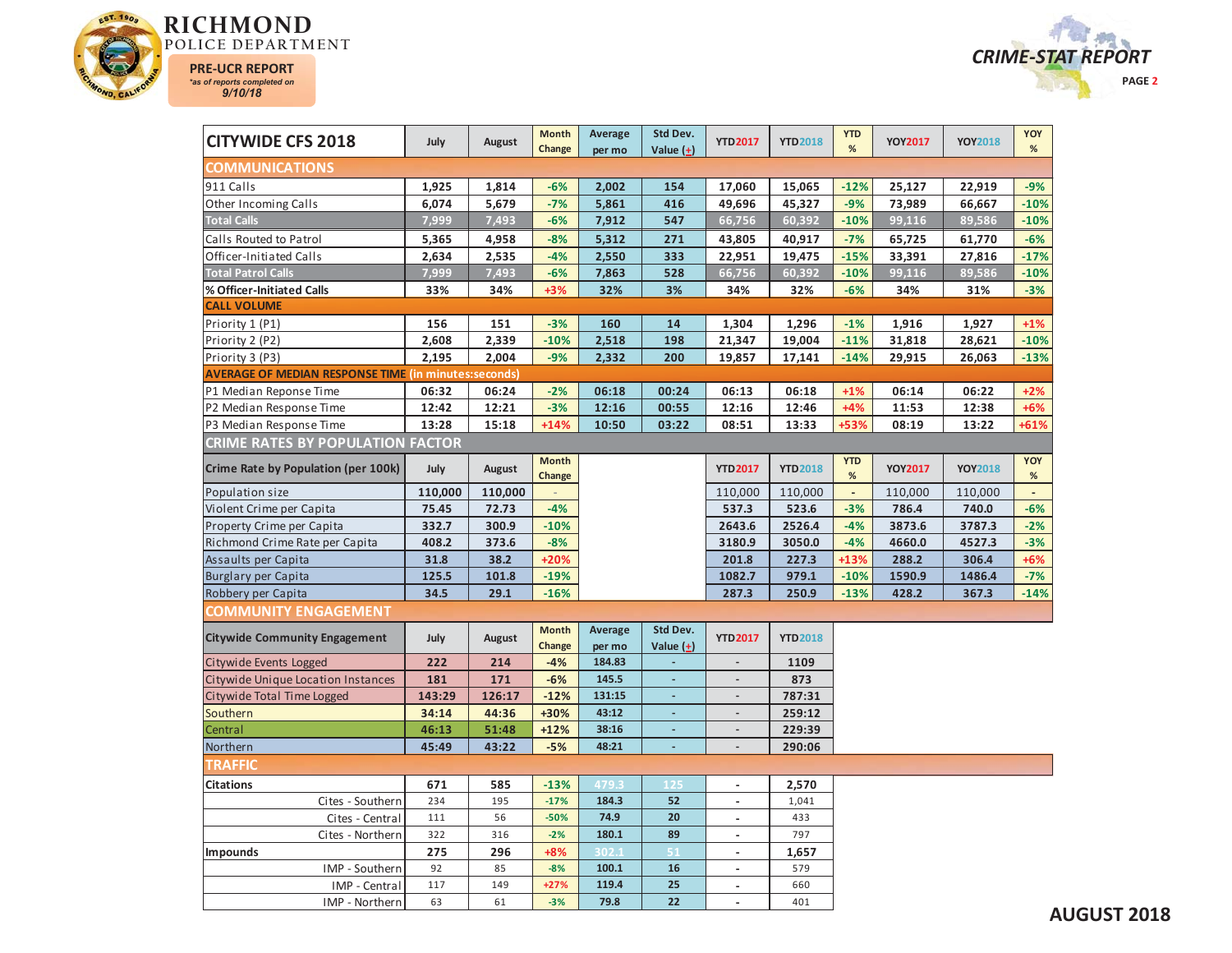



| <b>CITYWIDE CFS 2018</b>                                    | July    | August  | <b>Month</b><br>Change | Average<br>per mo | Std Dev.<br>Value $(+)$  | <b>YTD2017</b>           | <b>YTD2018</b> | <b>YTD</b><br>%    | <b>YOY2017</b> | <b>YOY2018</b> | YOY<br>$\%$    |
|-------------------------------------------------------------|---------|---------|------------------------|-------------------|--------------------------|--------------------------|----------------|--------------------|----------------|----------------|----------------|
| <b>COMMUNICATIONS</b>                                       |         |         |                        |                   |                          |                          |                |                    |                |                |                |
| 911 Calls                                                   | 1,925   | 1,814   | $-6%$                  | 2,002             | 154                      | 17,060                   | 15,065         | $-12%$             | 25,127         | 22,919         | $-9%$          |
| Other Incoming Calls                                        | 6,074   | 5,679   | $-7%$                  | 5,861             | 416                      | 49,696                   | 45,327         | $-9%$              | 73,989         | 66,667         | $-10%$         |
| <b>Total Calls</b>                                          | 7,999   | 7,493   | $-6%$                  | 7,912             | 547                      | 66,756                   | 60,392         | $-10%$             | 99,116         | 89,586         | $-10%$         |
| Calls Routed to Patrol                                      | 5,365   | 4,958   | $-8%$                  | 5,312             | 271                      | 43,805                   | 40,917         | $-7%$              | 65,725         | 61,770         | $-6%$          |
| Officer-Initiated Calls                                     | 2,634   | 2,535   | $-4%$                  | 2,550             | 333                      | 22,951                   | 19,475         | $-15%$             | 33,391         | 27,816         | $-17%$         |
| <b>Total Patrol Calls</b>                                   | 7,999   | 7,493   | $-6%$                  | 7,863             | 528                      | 66,756                   | 60,392         | $-10%$             | 99,116         | 89,586         | $-10%$         |
| % Officer-Initiated Calls                                   | 33%     | 34%     | $+3%$                  | 32%               | 3%                       | 34%                      | 32%            | $-6%$              | 34%            | 31%            | $-3%$          |
| <b>CALL VOLUME</b>                                          |         |         |                        |                   |                          |                          |                |                    |                |                |                |
| Priority 1 (P1)                                             | 156     | 151     | $-3%$                  | 160               | 14                       | 1,304                    | 1,296          | $-1%$              | 1,916          | 1,927          | $+1%$          |
| Priority 2 (P2)                                             | 2,608   | 2,339   | $-10%$                 | 2,518             | 198                      | 21,347                   | 19,004         | $-11%$             | 31,818         | 28,621         | $-10%$         |
| Priority 3 (P3)                                             | 2,195   | 2,004   | $-9%$                  | 2,332             | 200                      | 19,857                   | 17,141         | $-14%$             | 29,915         | 26,063         | $-13%$         |
| <b>AVERAGE OF MEDIAN RESPONSE TIME (in minutes:seconds)</b> |         |         |                        |                   |                          |                          |                |                    |                |                |                |
| P1 Median Reponse Time                                      | 06:32   | 06:24   | $-2%$                  | 06:18             | 00:24                    | 06:13                    | 06:18          | $+1%$              | 06:14          | 06:22          | $+2%$          |
| P2 Median Response Time                                     | 12:42   | 12:21   | $-3%$                  | 12:16             | 00:55                    | 12:16                    | 12:46          | $+4%$              | 11:53          | 12:38          | $+6%$          |
| P3 Median Response Time                                     | 13:28   | 15:18   | $+14%$                 | 10:50             | 03:22                    | 08:51                    | 13:33          | +53%               | 08:19          | 13:22          | $+61%$         |
| <b>CRIME RATES BY POPULATION FACTOR</b>                     |         |         |                        |                   |                          |                          |                |                    |                |                |                |
| Crime Rate by Population (per 100k)                         | July    | August  | <b>Month</b><br>Change |                   |                          | <b>YTD2017</b>           | <b>YTD2018</b> | <b>YTD</b><br>$\%$ | <b>YOY2017</b> | <b>YOY2018</b> | YOY<br>$\%$    |
| Population size                                             | 110,000 | 110,000 |                        |                   |                          | 110,000                  | 110,000        | $\mathbb{Z}^2$     | 110,000        | 110,000        | $\blacksquare$ |
| Violent Crime per Capita                                    | 75.45   | 72.73   | $-4%$                  |                   |                          | 537.3                    | 523.6          | $-3%$              | 786.4          | 740.0          | $-6%$          |
| Property Crime per Capita                                   | 332.7   | 300.9   | $-10%$                 |                   |                          | 2643.6                   | 2526.4         | $-4%$              | 3873.6         | 3787.3         | $-2%$          |
| Richmond Crime Rate per Capita                              | 408.2   | 373.6   | $-8%$                  |                   |                          | 3180.9                   | 3050.0         | $-4%$              | 4660.0         | 4527.3         | $-3%$          |
| Assaults per Capita                                         | 31.8    | 38.2    | $+20%$                 |                   |                          | 201.8                    | 227.3          | $+13%$             | 288.2          | 306.4          | $+6%$          |
| <b>Burglary per Capita</b>                                  | 125.5   | 101.8   | $-19%$                 |                   |                          | 1082.7                   | 979.1          | $-10%$             | 1590.9         | 1486.4         | $-7%$          |
| Robbery per Capita                                          | 34.5    | 29.1    | $-16%$                 |                   |                          | 287.3                    | 250.9          | $-13%$             | 428.2          | 367.3          | $-14%$         |
| <b>COMMUNITY ENGAGEMENT</b>                                 |         |         |                        |                   |                          |                          |                |                    |                |                |                |
|                                                             |         |         | <b>Month</b>           | Average           | Std Dev.                 |                          |                |                    |                |                |                |
| <b>Citywide Community Engagement</b>                        | July    | August  | Change                 | per mo            | Value $(\pm)$            | <b>YTD2017</b>           | <b>YTD2018</b> |                    |                |                |                |
| Citywide Events Logged                                      | 222     | 214     | $-4%$                  | 184.83            | ÷,                       | $\blacksquare$           | 1109           |                    |                |                |                |
| Citywide Unique Location Instances                          | 181     | 171     | $-6%$                  | 145.5             |                          | $\overline{\phantom{a}}$ | 873            |                    |                |                |                |
| Citywide Total Time Logged                                  | 143:29  | 126:17  | $-12%$                 | 131:15            | ÷,                       | $\overline{\phantom{a}}$ | 787:31         |                    |                |                |                |
| Southern                                                    | 34:14   | 44:36   | +30%                   | 43:12             |                          | $\overline{a}$           | 259:12         |                    |                |                |                |
| Central                                                     | 46:13   | 51:48   | $+12%$                 | 38:16             |                          | $\overline{a}$           | 229:39         |                    |                |                |                |
| Northern                                                    | 45:49   | 43:22   | $-5%$                  | 48:21             | $\overline{\phantom{a}}$ | $\overline{\phantom{a}}$ | 290:06         |                    |                |                |                |
| TRAFFIC                                                     |         |         |                        |                   |                          |                          |                |                    |                |                |                |
| <b>Citations</b>                                            | 671     | 585     | $-13%$                 | 479.3             | 125                      | $\mathbf{r}$             | 2,570          |                    |                |                |                |
| Cites - Southern                                            | 234     | 195     | $-17%$                 | 184.3             | 52                       | $\overline{\phantom{a}}$ | 1,041          |                    |                |                |                |
| Cites - Central                                             | 111     | 56      | $-50%$                 | 74.9              | 20                       | $\overline{\phantom{a}}$ | 433            |                    |                |                |                |
| Cites - Northern                                            | 322     | 316     | $-2%$                  | 180.1             | 89                       | $\overline{\phantom{a}}$ | 797            |                    |                |                |                |
| <b>Impounds</b>                                             | 275     | 296     | +8%                    | 302.1             | 51                       | $\overline{\phantom{a}}$ | 1,657          |                    |                |                |                |
| IMP - Southern                                              | 92      | 85      | $-8%$                  | 100.1             | 16                       | $\overline{a}$           | 579            |                    |                |                |                |
| IMP - Central                                               | 117     | 149     | $+27%$                 | 119.4             | 25                       | $\overline{\phantom{a}}$ | 660            |                    |                |                |                |
| IMP - Northern                                              | 63      | 61      | $-3%$                  | 79.8              | 22                       |                          | 401            |                    |                |                |                |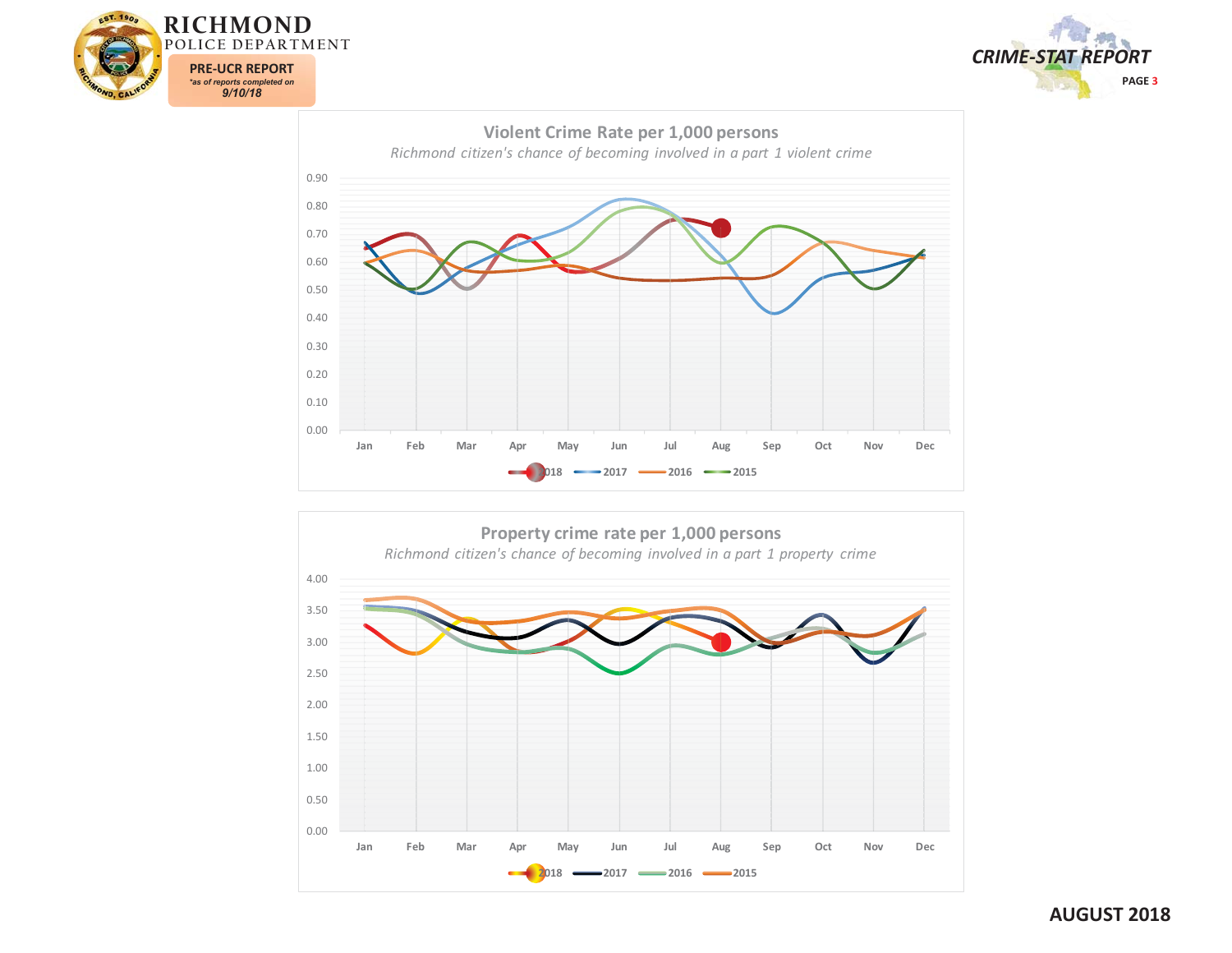





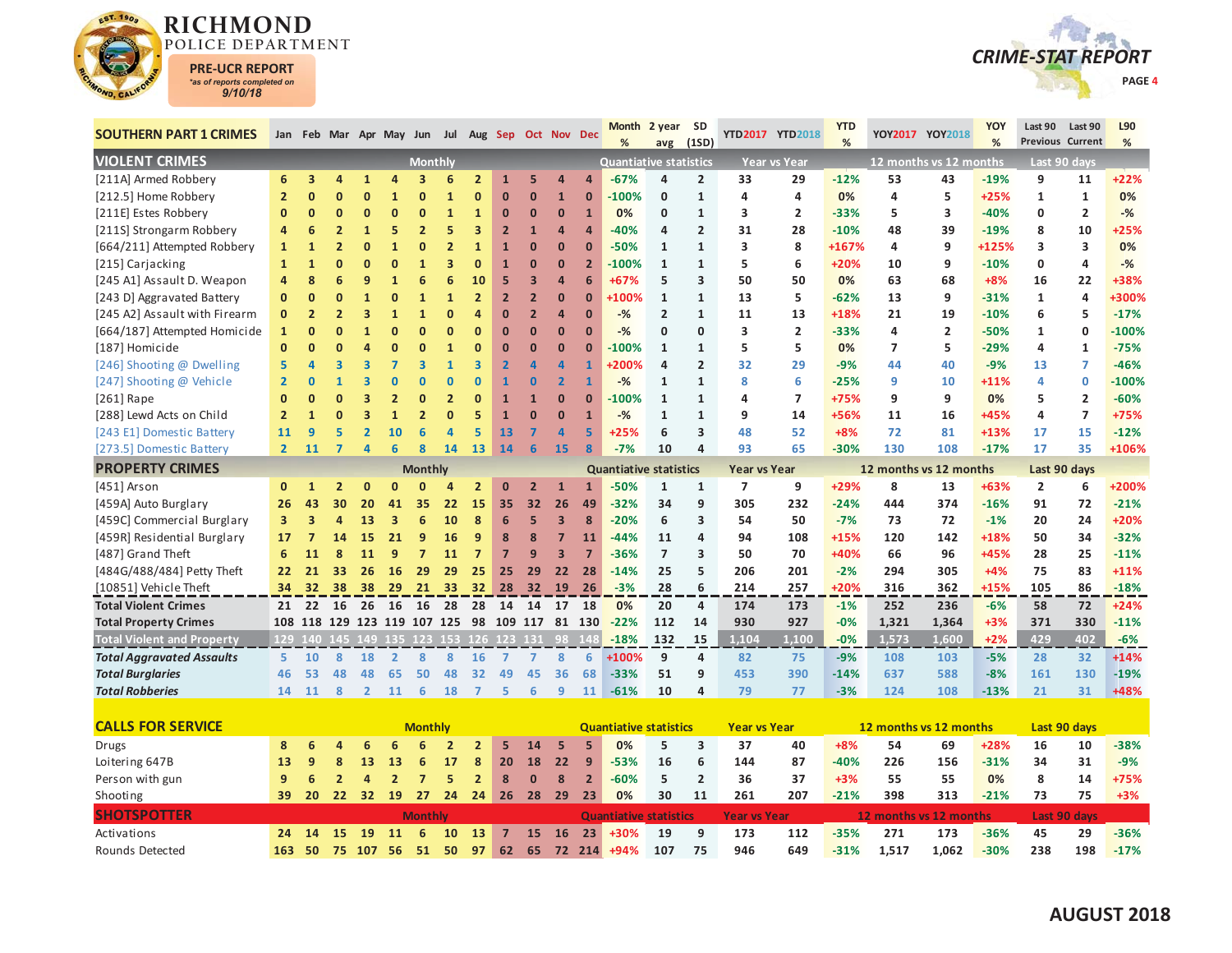

Rounds Detected



| <b>SOUTHERN PART 1 CRIMES</b>     |                 |                |                |                |                             |                         |                |                |                | Jan Feb Mar Apr May Jun Jul Aug Sep Oct Nov Dec |                         |                | <b>Month</b><br>%             | 2 year SD<br>avg | (1SD)                   |                          | YTD2017 YTD2018     | <b>YTD</b><br>% |                        | YOY2017 YOY2018        | <b>YOY</b><br>% | Last 90        | Last 90<br>Previous Current | L90<br>% |
|-----------------------------------|-----------------|----------------|----------------|----------------|-----------------------------|-------------------------|----------------|----------------|----------------|-------------------------------------------------|-------------------------|----------------|-------------------------------|------------------|-------------------------|--------------------------|---------------------|-----------------|------------------------|------------------------|-----------------|----------------|-----------------------------|----------|
| <b>VIOLENT CRIMES</b>             |                 |                |                |                |                             | <b>Monthly</b>          |                |                |                |                                                 |                         |                | <b>Quantiative statistics</b> |                  |                         |                          | <b>Year vs Year</b> |                 |                        | 12 months vs 12 months |                 |                | Last 90 days                |          |
| [211A] Armed Robbery              | 6               | 3              | 4              |                |                             |                         |                | $\overline{2}$ | $\mathbf{1}$   | 5                                               | $\overline{a}$          | $\sqrt{ }$     | $-67%$                        | 4                | 2                       | 33                       | 29                  | $-12%$          | 53                     | 43                     | $-19%$          | 9              | 11                          | $+22%$   |
| [212.5] Home Robbery              | $\overline{2}$  | $\mathbf{0}$   | ŋ              | O              |                             | $\Omega$                |                | $\Omega$       | $\Omega$       | $\Omega$                                        | $\mathbf{1}$            | $\Omega$       | $-100%$                       | 0                | $\mathbf{1}$            | 4                        | 4                   | 0%              | 4                      | 5                      | $+25%$          | $\mathbf{1}$   | $\mathbf{1}$                | 0%       |
| [211E] Estes Robbery              | $\mathbf{0}$    | $\mathbf{0}$   | $\overline{0}$ | Ω              | n                           | n                       | $\mathbf{1}$   | $\mathbf{1}$   | $\bf{0}$       | $\mathbf{0}$                                    | $\Omega$                | $\overline{1}$ | 0%                            | 0                | $\mathbf{1}$            | 3                        | $\overline{2}$      | $-33%$          | 5                      | 3                      | $-40%$          | $\mathbf{0}$   | $\overline{2}$              | $-%$     |
| [211S] Strongarm Robbery          | 4               | 6              | $\overline{2}$ | $\mathbf{1}$   | 5                           | $\overline{2}$          |                | 3              | $\overline{2}$ | $\mathbf{1}$                                    | $\overline{a}$          | $\overline{a}$ | $-40%$                        | 4                | $\overline{2}$          | 31                       | 28                  | $-10%$          | 48                     | 39                     | $-19%$          | 8              | 10                          | $+25%$   |
| [664/211] Attempted Robbery       | $\mathbf{1}$    | 1              | $\overline{2}$ | Ω              |                             |                         |                | $\mathbf{1}$   | 1              | $\bf{0}$                                        | $\mathbf 0$             | $\Omega$       | $-50%$                        | 1                | $\mathbf{1}$            | 3                        | 8                   | +167%           | 4                      | 9                      | +125%           | 3              | 3                           | 0%       |
| [215] Carjacking                  | $\mathbf{1}$    | $\mathbf{1}$   | $\overline{0}$ | O              | O                           |                         |                | $\bf{0}$       | $\overline{1}$ | $\Omega$                                        | $\overline{0}$          | $\overline{2}$ | $-100%$                       | $\mathbf{1}$     | $\mathbf{1}$            | 5                        | 6                   | +20%            | 10                     | 9                      | $-10%$          | $\mathbf 0$    | 4                           | $-%$     |
| [245 A1] Assault D. Weapon        | 4               | 8              | 6              | g              |                             | 6                       | 6              | 10             | 5              | 3                                               | $\overline{a}$          | 6              | +67%                          | 5                | 3                       | 50                       | 50                  | 0%              | 63                     | 68                     | $+8%$           | 16             | 22                          | +38%     |
| [243 D] Aggravated Battery        | $\mathbf{0}$    | $\mathbf{0}$   | ŋ              |                | O                           |                         | $\mathbf{1}$   | $\overline{2}$ | $\overline{2}$ | $\overline{2}$                                  | $\overline{0}$          | $\Omega$       | +100%                         | $\mathbf{1}$     | $\mathbf{1}$            | 13                       | 5                   | $-62%$          | 13                     | 9                      | $-31%$          | $\mathbf{1}$   | $\overline{\mathbf{4}}$     | +300%    |
| [245 A2] Assault with Firearm     | $\mathbf{0}$    | $\overline{2}$ | $\overline{2}$ | 3              |                             |                         |                | Δ              | $\Omega$       | $\overline{2}$                                  | $\overline{a}$          | $\Omega$       | $-$ %                         | 2                | $\mathbf{1}$            | 11                       | 13                  | +18%            | 21                     | 19                     | $-10%$          | 6              | 5                           | $-17%$   |
| [664/187] Attempted Homicide      | $\mathbf{1}$    | $\bf{0}$       | $\overline{0}$ |                | $\Omega$                    | $\Omega$                | n              | $\Omega$       | $\Omega$       | $\Omega$                                        | $\overline{0}$          | $\mathbf 0$    | $-$ %                         | 0                | 0                       | 3                        | $\overline{2}$      | $-33%$          | 4                      | $\overline{2}$         | -50%            | 1              | 0                           | $-100%$  |
| [187] Homicide                    | $\mathbf{0}$    | $\overline{0}$ | ŋ              | Δ              | $\Omega$                    | $\Omega$                |                | $\Omega$       | $\mathbf 0$    | $\Omega$                                        | $\overline{0}$          | $\Omega$       | $-100%$                       | $\mathbf{1}$     | $\mathbf{1}$            | 5                        | 5                   | 0%              | $\overline{7}$         | 5                      | $-29%$          | $\overline{a}$ | $\mathbf{1}$                | $-75%$   |
| [246] Shooting @ Dwelling         | 5               | Δ              | 3              | 3              |                             | 3                       |                | 3              | $\overline{2}$ | $\overline{a}$                                  | $\overline{a}$          |                | +200%                         | 4                | $\overline{2}$          | 32                       | 29                  | $-9%$           | 44                     | 40                     | $-9%$           | 13             | 7                           | $-46%$   |
| [247] Shooting @ Vehicle          | $\overline{2}$  | n              |                |                |                             |                         | $\Omega$       | $\bf{0}$       | 1              | $\bf{0}$                                        | $\overline{2}$          | $\overline{1}$ | $-%$                          | $\mathbf{1}$     | $\mathbf{1}$            | 8                        | 6                   | $-25%$          | 9                      | 10                     | $+11%$          | $\overline{a}$ | 0                           | $-100%$  |
| $[261]$ Rape                      | n               | ŋ              | ŋ              | ٩              |                             | n                       |                | $\mathbf{0}$   | $\overline{1}$ | $\overline{1}$                                  | $\overline{0}$          | $\mathbf{0}$   | $-100%$                       | $\mathbf{1}$     | $\mathbf{1}$            | 4                        | $\overline{7}$      | +75%            | 9                      | 9                      | 0%              | 5              | $\overline{2}$              | $-60%$   |
| [288] Lewd Acts on Child          | $\overline{2}$  | 1              | ŋ              | 3              |                             |                         | n              | 5              | $\overline{1}$ | $\mathbf{0}$                                    | $\overline{0}$          | $\overline{1}$ | $-$ %                         | $\mathbf{1}$     | $\mathbf{1}$            | 9                        | 14                  | +56%            | 11                     | 16                     | +45%            | $\overline{a}$ | $\overline{7}$              | +75%     |
| [243 E1] Domestic Battery         | 11              | 9              | 5              | $\overline{2}$ | 10                          |                         | $\overline{a}$ | 5              | 13             | 7                                               | $\overline{a}$          | 5              | $+25%$                        | 6                | 3                       | 48                       | 52                  | $+8%$           | 72                     | 81                     | $+13%$          | 17             | 15                          | $-12%$   |
| [273.5] Domestic Battery          | $\overline{2}$  | 11             | 7              | Δ              | 6                           | $\overline{\mathbf{8}}$ | 14             | 13             | 14             | 6                                               | 15                      | 8              | $-7%$                         | 10               | 4                       | 93                       | 65                  | $-30%$          | 130                    | 108                    | $-17%$          | 17             | 35                          | +106%    |
| <b>PROPERTY CRIMES</b>            |                 |                |                |                |                             | <b>Monthly</b>          |                |                |                |                                                 |                         |                | <b>Quantiative statistics</b> |                  |                         | <b>Year vs Year</b>      |                     |                 | 12 months vs 12 months |                        |                 |                | Last 90 days                |          |
| [451] Arson                       | $\mathbf{0}$    | $\mathbf{1}$   |                |                |                             |                         |                | $\overline{2}$ | 0              | 2                                               | $\mathbf{1}$            | $\mathbf{1}$   | $-50%$                        | 1                | $\mathbf{1}$            | $\overline{\phantom{a}}$ | 9                   | +29%            | 8                      | 13                     | +63%            | $\overline{2}$ | 6                           | +200%    |
| [459A] Auto Burglary              | 26              | 43             | 30             | 20             | 41                          | 35                      | 22             | 15             | 35             | 32                                              | 26                      | 49             | $-32%$                        | 34               | 9                       | 305                      | 232                 | $-24%$          | 444                    | 374                    | $-16%$          | 91             | 72                          | $-21%$   |
| [459C] Commercial Burglary        | 3               | 3              | $\overline{a}$ | 13             | 3                           | 6                       | 10             | 8              | 6              | 5                                               | $\overline{\mathbf{3}}$ | 8              | $-20%$                        | 6                | 3                       | 54                       | 50                  | $-7%$           | 73                     | 72                     | $-1%$           | 20             | 24                          | +20%     |
| [459R] Residential Burglary       | 17              | 7              | 14             | 15             | 21                          | 9                       | 16             | 9              | 8              | 8                                               | $\overline{7}$          | 11             | $-44%$                        | 11               | 4                       | 94                       | 108                 | $+15%$          | 120                    | 142                    | +18%            | 50             | 34                          | $-32%$   |
| [487] Grand Theft                 | 6               | 11             | 8              | 11             | 9                           |                         | 11             | $\overline{7}$ | $\overline{7}$ | 9                                               | $\overline{\mathbf{3}}$ | 7              | -36%                          | $\overline{7}$   | 3                       | 50                       | 70                  | +40%            | 66                     | 96                     | +45%            | 28             | 25                          | $-11%$   |
| [484G/488/484] Petty Theft        | 22              | 21             | 33             | 26             | 16                          | 29                      | 29             | 25             | 25             | 29                                              | 22                      | 28             | $-14%$                        | 25               | 5                       | 206                      | 201                 | $-2%$           | 294                    | 305                    | $+4%$           | 75             | 83                          | $+11%$   |
| [10851] Vehicle Theft             | 34              | 32             | 38             | 38             | 29                          | 21                      | 33             | 32             | 28             | 32                                              | 19                      | 26             | $-3%$                         | 28               | 6                       | 214                      | 257                 | +20%            | 316                    | 362                    | +15%            | 105            | 86                          | $-18%$   |
| <b>Total Violent Crimes</b>       | 21              | 22             | 16             | 26             | 16                          | 16                      | 28             |                | 28 14          | 14                                              | 17                      | 18             | 0%                            | 20               | 4                       | 174                      | 173                 | $-1%$           | 252                    | 236                    | $-6%$           | 58             | 72                          | $+24%$   |
| <b>Total Property Crimes</b>      |                 |                |                |                | 108 118 129 123 119 107 125 |                         |                |                |                | 98 109 117 81 130                               |                         |                | $-22%$                        | 112              | 14                      | 930                      | 927                 | $-0%$           | 1,321                  | 1,364                  | $+3%$           | 371            | 330                         | $-11%$   |
| <b>Total Violent and Property</b> |                 |                |                |                |                             |                         |                |                |                | 129 140 145 149 135 123 153 126 123 131 98 148  |                         |                | $-18%$                        | 132              | 15                      | 1.104                    | 1.100               | $-0%$           | 1,573                  | 1,600                  | $+2%$           | 429            | 402                         | $-6%$    |
| <b>Total Aggravated Assaults</b>  | 5               | 10             | 8              | 18             | $\overline{2}$              | 8                       | 8              | 16             | $\overline{7}$ | $\overline{7}$                                  | 8                       | 6              | +100%                         | 9                | 4                       | 82                       | 75                  | $-9%$           | 108                    | 103                    | $-5%$           | 28             | 32                          | $+14%$   |
| <b>Total Burglaries</b>           | 46              | 53             | 48             | 48             | 65                          | 50                      | 48             | 32             | 49             | 45                                              | 36                      | 68             | $-33%$                        | 51               | 9                       | 453                      | 390                 | $-14%$          | 637                    | 588                    | $-8%$           | 161            | 130                         | $-19%$   |
| <b>Total Robberies</b>            | 14              | 11             | 8              | $\overline{2}$ | 11                          | 6                       | 18             | $\overline{7}$ | 5              | 6                                               | 9                       | 11             | $-61%$                        | 10               | 4                       | 79                       | 77                  | $-3%$           | 124                    | 108                    | $-13%$          | 21             | 31                          | +48%     |
|                                   |                 |                |                |                |                             |                         |                |                |                |                                                 |                         |                |                               |                  |                         |                          |                     |                 |                        |                        |                 |                |                             |          |
| <b>CALLS FOR SERVICE</b>          |                 |                |                |                |                             | <b>Monthly</b>          |                |                |                |                                                 |                         |                | <b>Quantiative statistics</b> |                  |                         | <b>Year vs Year</b>      |                     |                 | 12 months vs 12 months |                        |                 |                | Last 90 days                |          |
| <b>Drugs</b>                      | 8               | 6              |                | 6              |                             |                         |                | $\overline{2}$ | 5              | 14                                              | 5                       | 5              | 0%                            | 5                | 3                       | 37                       | 40                  | $+8%$           | 54                     | 69                     | +28%            | 16             | 10                          | $-38%$   |
| Loitering 647B                    | 13              | 9              | 8              | 13             | 13                          | 6                       | 17             | 8              | 20             | 18                                              | 22                      | 9              | $-53%$                        | 16               | 6                       | 144                      | 87                  | $-40%$          | 226                    | 156                    | $-31%$          | 34             | 31                          | $-9%$    |
| Person with gun                   | 9               | 6              | $\overline{2}$ | 4              | $\overline{2}$              | $\overline{7}$          | 5              | $\overline{2}$ | 8              | $\mathbf{0}$                                    | 8                       | $\overline{2}$ | $-60%$                        | 5                | $\overline{\mathbf{c}}$ | 36                       | 37                  | $+3%$           | 55                     | 55                     | 0%              | 8              | 14                          | +75%     |
| Shooting                          | 39              | 20             | 22             | 32             | 19                          | 27                      | 24             |                | $24 \quad 26$  | 28                                              | 29                      | 23             | 0%                            | 30               | 11                      | 261                      | 207                 | $-21%$          | 398                    | 313                    | $-21%$          | 73             | 75                          | $+3%$    |
| <b>SHOTSPOTTER</b>                |                 |                |                |                |                             | <b>Monthly</b>          |                |                |                |                                                 |                         |                | <b>Quantiative statistics</b> |                  |                         | <b>Year vs Year</b>      |                     |                 | 12 months vs 12 months |                        |                 |                | Last 90 days                |          |
| Activations                       | 24 <sup>2</sup> |                | 14 15          |                | 19 11                       | 6                       | 10             | 13             | $\overline{7}$ | <b>15</b>                                       | <b>16</b>               | 23             | +30%                          | 19               | q                       | 173                      | 112                 | $-35%$          | 271                    | 173                    | $-36%$          | 45             | 29                          | $-36%$   |

**163 50 75 107 56 51 50 97 62 65 72 214 +94%**

**107 75 946 649 -31% 1,517 1,062 -30% 238 198 -17%**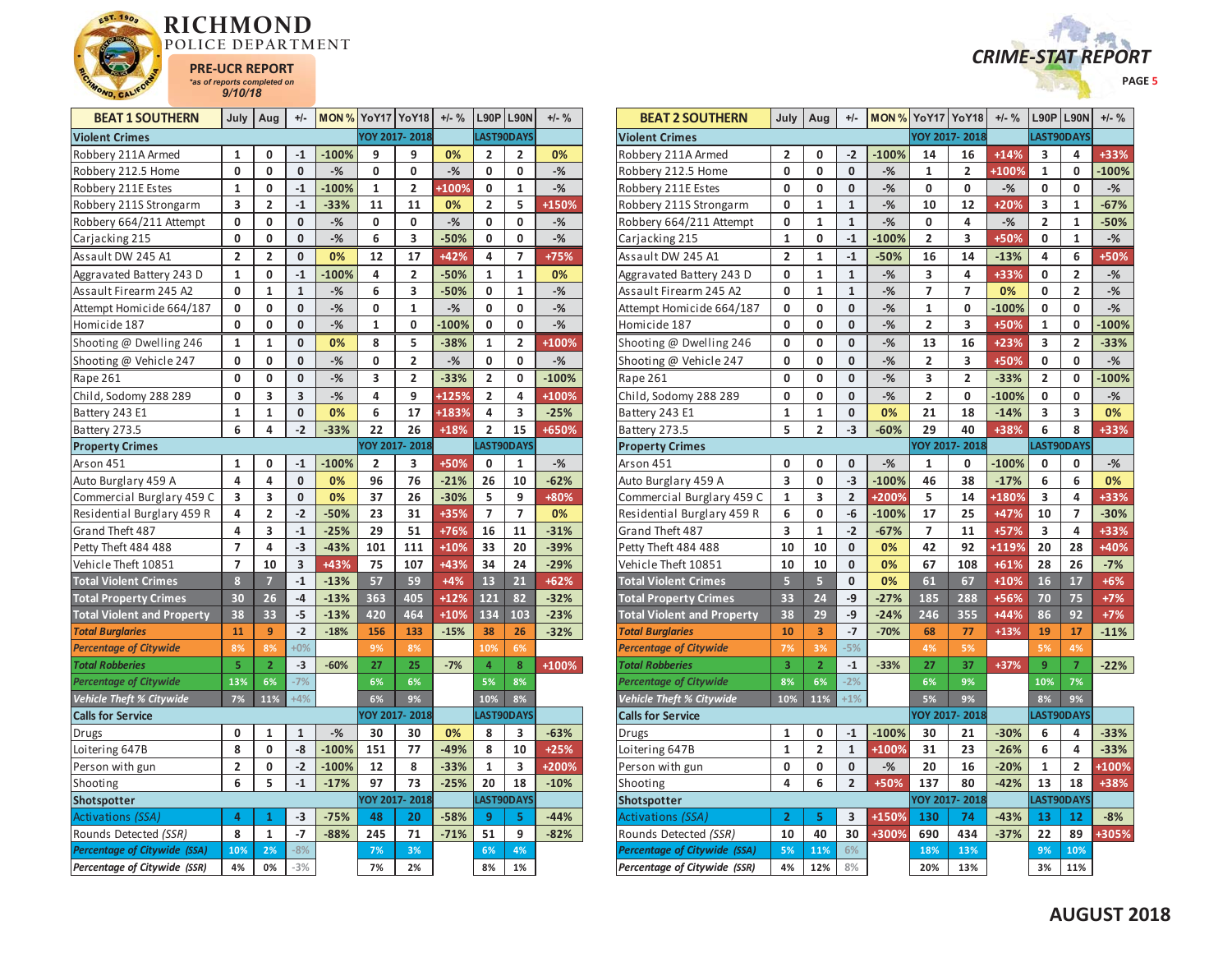



| <b>BEAT 1 SOUTHERN</b>                                | July                    | Aug                          | $+/-$        |         | <b>MON % YoY17 YoY18</b> |                         | $+/-$ % |                         | $L90P$ L90N      | $+/-$ % |
|-------------------------------------------------------|-------------------------|------------------------------|--------------|---------|--------------------------|-------------------------|---------|-------------------------|------------------|---------|
| <b>Violent Crimes</b>                                 |                         |                              |              |         |                          | YOY 2017-2018           |         |                         | LAST90DAYS       |         |
| Robbery 211A Armed                                    | 1                       | 0                            | $-1$         | $-100%$ | 9                        | 9                       | 0%      | 2                       | 2                | 0%      |
| Robbery 212.5 Home                                    | 0                       | 0                            | 0            | $-%$    | 0                        | 0                       | $-%$    | 0                       | 0                | $-$ %   |
| Robbery 211E Estes                                    | $\mathbf{1}$            | 0                            | $-1$         | $-100%$ | 1                        | $\overline{2}$          | +100%   | 0                       | 1                | $-$ %   |
| Robbery 211S Strongarm                                | 3                       | 2                            | $-1$         | $-33%$  | 11                       | 11                      | 0%      | $\overline{\mathbf{c}}$ | 5                | +150%   |
| Robbery 664/211 Attempt                               | 0                       | 0                            | 0            | $-%$    | 0                        | 0                       | $-%$    | 0                       | 0                | -%      |
| Carjacking 215                                        | 0                       | 0                            | 0            | $-$ %   | 6                        | 3                       | $-50%$  | 0                       | 0                | $-$ %   |
| Assault DW 245 A1                                     | $\overline{\mathbf{2}}$ | $\overline{2}$               | 0            | 0%      | 12                       | 17                      | $+42%$  | 4                       | 7                | +75%    |
| Aggravated Battery 243 D                              | 1                       | 0                            | $-1$         | $-100%$ | 4                        | $\overline{\mathbf{2}}$ | $-50%$  | 1                       | 1                | 0%      |
| Assault Firearm 245 A2                                | 0                       | $\mathbf{1}$                 | $\mathbf{1}$ | $-$ %   | 6                        | 3                       | $-50%$  | 0                       | 1                | $-$ %   |
| Attempt Homicide 664/187                              | 0                       | 0                            | 0            | $-$ %   | 0                        | 1                       | $-%$    | 0                       | 0                | $-%$    |
| Homicide 187                                          | 0                       | 0                            | 0            | $-%$    | 1                        | 0                       | $-100%$ | 0                       | 0                | $-$ %   |
| Shooting @ Dwelling 246                               | 1                       | 1                            | 0            | 0%      | 8                        | 5                       | $-38%$  | 1                       | 2                | +100%   |
| Shooting @ Vehicle 247                                | 0                       | 0                            | 0            | $-%$    | 0                        | $\overline{2}$          | $-$ %   | 0                       | 0                | $-$ %   |
| Rape 261                                              | 0                       | 0                            | 0            | $-%$    | 3                        | 2                       | $-33%$  | 2                       | 0                | $-100%$ |
| Child, Sodomy 288 289                                 | 0                       | 3                            | 3            | $-$ %   | 4                        | 9                       | +125%   | $\overline{2}$          | 4                | +100%   |
| Battery 243 E1                                        | 1                       | $\mathbf{1}$                 | 0            | 0%      | 6                        | 17                      | +183%   | 4                       | 3                | $-25%$  |
| Battery 273.5                                         | 6                       | 4                            | $-2$         | $-33%$  | 22                       | 26                      | $+18%$  | $\overline{2}$          | 15               | +650%   |
| <b>Property Crimes</b>                                |                         |                              |              |         |                          | YOY 2017-2018           |         |                         | LAST90DAYS       |         |
| Arson 451                                             | $\mathbf{1}$            | 0                            | $-1$         | $-100%$ | $\overline{2}$           | 3                       | +50%    | 0                       | 1                | $-$ %   |
| Auto Burglary 459 A                                   | 4                       | 4                            | $\pmb{0}$    | 0%      | 96                       | 76                      | $-21%$  | 26                      | 10               | $-62%$  |
| Commercial Burglary 459 C                             | 3                       | 3                            | 0            | 0%      | 37                       | 26                      | $-30%$  | 5                       | 9                | +80%    |
| Residential Burglary 459 R                            | 4                       | $\overline{2}$               | $-2$         | $-50%$  | 23                       | 31                      | +35%    | 7                       | 7                | 0%      |
| Grand Theft 487                                       | 4                       | 3                            | $-1$         | $-25%$  | 29                       | 51                      | +76%    | 16                      | 11               | $-31%$  |
| Petty Theft 484 488                                   | 7                       | 4                            | $-3$         | $-43%$  | 101                      | 111                     | $+10%$  | 33                      | 20               | $-39%$  |
| Vehicle Theft 10851                                   | $\overline{7}$          | 10                           | 3            | +43%    | 75                       | 107                     | +43%    | 34                      | 24               | $-29%$  |
| <b>Total Violent Crimes</b>                           | 8                       | 7                            | $-1$         | $-13%$  | 57                       | 59                      | $+4%$   | 13                      | 21               | $+62%$  |
| <b>Total Property Crimes</b>                          | 30                      | 26                           | $-4$         | $-13%$  | 363                      | 405                     | $+12%$  | 121                     | 82               | $-32%$  |
| <b>Total Violent and Property</b>                     | 38                      | 33                           | -5           | $-13%$  | 420                      | 464                     | $+10%$  | 134                     | 103              | $-23%$  |
| <b>Total Burglaries</b>                               | 11                      | 9                            | $-2$         | $-18%$  | 156                      | 133                     | $-15%$  | 38                      | 26               | $-32%$  |
| <b>Percentage of Citywide</b>                         | 8%                      | 8%                           | $+0%$        |         | 9%                       | 8%                      |         | 10%                     | 6%               |         |
| <b>Total Robberies</b>                                | 5                       | $\overline{2}$               | $-3$         | $-60%$  | 27                       | 25                      | $-7%$   | 4                       | 8                | +100%   |
| <b>Percentage of Citywide</b>                         | 13%                     | 6%                           | $-7%$        |         | 6%                       | 6%                      |         | 5%                      | 8%               |         |
| <b>Vehicle Theft % Citywide</b>                       | 7%                      | 11%                          | $+4%$        |         | 6%                       | 9%                      |         | 10%                     | 8%               |         |
| <b>Calls for Service</b>                              |                         |                              |              |         |                          | YOY 2017-2018           |         |                         | LAST90DAYS       |         |
| Drugs                                                 | 0                       | 1                            | 1            | $-%$    | 30                       | 30                      | 0%      | 8                       | 3                | $-63%$  |
| Loitering 647B                                        | 8                       | 0                            | -8           | $-100%$ | 151                      | 77                      | $-49%$  | 8                       | 10               | $+25%$  |
| Person with gun                                       | 2                       | 0                            | $-2$         | $-100%$ | 12                       | 8                       | $-33%$  | $\mathbf 1$             | 3                | +200%   |
| Shooting                                              | 6                       | 5                            | $-1$         | $-17%$  | 97                       | 73<br>YOY 2017-2018     | $-25%$  | 20                      | 18<br>LAST90DAYS | $-10%$  |
| <b>Shotspotter</b>                                    |                         |                              |              |         |                          |                         |         |                         |                  |         |
| <b>Activations (SSA)</b>                              | 4                       | $\mathbf{1}$<br>$\mathbf{1}$ | -3<br>$-7$   | $-75%$  | 48                       | 20<br>71                | $-58%$  | 9                       | 5<br>9           | $-44%$  |
| Rounds Detected (SSR)<br>Percentage of Citywide (SSA) | 8<br>10%                | 2%                           | $-8%$        | $-88%$  | 245<br>7%                | 3%                      | $-71%$  | 51<br>6%                | 4%               | $-82%$  |
| Percentage of Citywide (SSR)                          | 4%                      | 0%                           | $-3%$        |         | 7%                       | 2%                      |         | 8%                      | 1%               |         |
|                                                       |                         |                              |              |         |                          |                         |         |                         |                  |         |

| <b>BEAT 2 SOUTHERN</b>              | July           | Aug                     | $+/-$          | <b>MON % YoY17 YoY18</b> |                         |               | $+/-$ % |                         | <b>L90P L90N</b> | $+/-$ % |
|-------------------------------------|----------------|-------------------------|----------------|--------------------------|-------------------------|---------------|---------|-------------------------|------------------|---------|
| <b>Violent Crimes</b>               |                |                         |                |                          |                         | YOY 2017-2018 |         |                         | LAST90DAYS       |         |
| Robbery 211A Armed                  | 2              | 0                       | $-2$           | $-100%$                  | 14                      | 16            | $+14%$  | 3                       | 4                | +33%    |
| Robbery 212.5 Home                  | 0              | 0                       | 0              | $-%$                     | 1                       | 2             | +100%   | 1                       | 0                | $-100%$ |
| Robbery 211E Estes                  | 0              | 0                       | 0              | $-%$                     | 0                       | 0             | $-%$    | 0                       | 0                | $-%$    |
| Robbery 211S Strongarm              | 0              | 1                       | $\mathbf{1}$   | $-%$                     | 10                      | 12            | $+20%$  | 3                       | 1                | $-67%$  |
| Robbery 664/211 Attempt             | 0              | $\mathbf{1}$            | $\mathbf{1}$   | $-$ %                    | 0                       | 4             | $-%$    | $\overline{\mathbf{c}}$ | 1                | -50%    |
| Carjacking 215                      | $\mathbf 1$    | 0                       | $-1$           | $-100%$                  | $\overline{\mathbf{c}}$ | 3             | +50%    | 0                       | 1                | $-$ %   |
| Assault DW 245 A1                   | $\overline{2}$ | 1                       | $-1$           | $-50%$                   | 16                      | 14            | $-13%$  | 4                       | 6                | +50%    |
| Aggravated Battery 243 D            | 0              | 1                       | $\mathbf{1}$   | $-%$                     | 3                       | 4             | +33%    | 0                       | 2                | $-%$    |
| Assault Firearm 245 A2              | 0              | $\mathbf{1}$            | $\mathbf{1}$   | $-$ %                    | $\overline{7}$          | 7             | 0%      | 0                       | $\overline{2}$   | $-%$    |
| Attempt Homicide 664/187            | 0              | 0                       | 0              | $-%$                     | $\mathbf{1}$            | 0             | $-100%$ | 0                       | 0                | $-$ %   |
| Homicide 187                        | 0              | 0                       | $\mathbf 0$    | $-%$                     | $\overline{2}$          | 3             | +50%    | $\mathbf{1}$            | 0                | $-100%$ |
| Shooting @ Dwelling 246             | 0              | 0                       | 0              | $-%$                     | 13                      | 16            | $+23%$  | 3                       | 2                | $-33%$  |
| Shooting @ Vehicle 247              | 0              | 0                       | 0              | $-$ %                    | $\overline{\mathbf{c}}$ | 3             | +50%    | 0                       | 0                | $-$ %   |
| Rape 261                            | 0              | 0                       | 0              | $-%$                     | 3                       | 2             | $-33%$  | 2                       | 0                | $-100%$ |
| Child, Sodomy 288 289               | 0              | 0                       | 0              | $-%$                     | $\overline{\mathbf{c}}$ | 0             | $-100%$ | 0                       | 0                | $-%$    |
| Battery 243 E1                      | 1              | 1                       | 0              | 0%                       | 21                      | 18            | $-14%$  | 3                       | 3                | 0%      |
| Battery 273.5                       | 5              | $\overline{2}$          | $-3$           | $-60%$                   | 29                      | 40            | +38%    | 6                       | 8                | +33%    |
| <b>Property Crimes</b>              |                |                         |                |                          |                         | YOY 2017-2018 |         |                         | LAST90DAYS       |         |
| Arson 451                           | 0              | 0                       | 0              | $-%$                     | 1                       | 0             | $-100%$ | 0                       | 0                | $-$ %   |
| Auto Burglary 459 A                 | 3              | 0                       | $-3$           | $-100%$                  | 46                      | 38            | $-17%$  | 6                       | 6                | 0%      |
| Commercial Burglary 459 C           | $\mathbf 1$    | 3                       | $\overline{2}$ | +200%                    | 5                       | 14            | +180%   | 3                       | 4                | +33%    |
| Residential Burglary 459 R          | 6              | 0                       | -6             | $-100%$                  | 17                      | 25            | $+47%$  | 10                      | 7                | $-30%$  |
| Grand Theft 487                     | 3              | $\mathbf{1}$            | $-2$           | $-67%$                   | 7                       | 11            | $+57%$  | 3                       | 4                | +33%    |
| Petty Theft 484 488                 | 10             | 10                      | 0              | 0%                       | 42                      | 92            | +119%   | 20                      | 28               | +40%    |
| Vehicle Theft 10851                 | 10             | 10                      | 0              | 0%                       | 67                      | 108           | $+61%$  | 28                      | 26               | $-7%$   |
| <b>Total Violent Crimes</b>         | 5              | 5                       | 0              | 0%                       | 61                      | 67            | $+10%$  | 16                      | 17               | $+6%$   |
| <b>Total Property Crimes</b>        | 33             | 24                      | $-9$           | $-27%$                   | 185                     | 288           | +56%    | 70                      | 75               | $+7%$   |
| <b>Total Violent and Property</b>   | 38             | 29                      | -9             | $-24%$                   | 246                     | 355           | $+44%$  | 86                      | 92               | $+7%$   |
| <b>Total Burglaries</b>             | 10             | 3                       | $-7$           | $-70%$                   | 68                      | 77            | $+13%$  | 19                      | 17               | $-11%$  |
| <b>Percentage of Citywide</b>       | 7%             | 3%                      | $-5%$          |                          | 4%                      | 5%            |         | 5%                      | 4%               |         |
| <b>Total Robberies</b>              | 3              | $\overline{2}$          | $^{\rm -1}$    | $-33%$                   | 27                      | 37            | $+37%$  | 9                       | $\overline{7}$   | $-22%$  |
| <b>Percentage of Citywide</b>       | 8%             | 6%                      | $-2%$          |                          | 6%                      | 9%            |         | 10%                     | 7%               |         |
| <b>Vehicle Theft % Citywide</b>     | 10%            | 11%                     | $+1%$          |                          | 5%                      | 9%            |         | 8%                      | 9%               |         |
| <b>Calls for Service</b>            |                |                         |                |                          |                         | YOY 2017-2018 |         |                         | LAST90DAYS       |         |
| <b>Drugs</b>                        | 1              | 0                       | $-1$           | $-100%$                  | 30                      | 21            | $-30%$  | 6                       | 4                | $-33%$  |
| Loitering 647B                      | $\mathbf{1}$   | $\overline{\mathbf{c}}$ | $\mathbf{1}$   | +100%                    | 31                      | 23            | $-26%$  | 6                       | 4                | $-33%$  |
| Person with gun                     | 0              | 0                       | 0              | $-%$                     | 20                      | 16            | $-20%$  | $\mathbf 1$             | $\overline{2}$   | +100%   |
| Shooting                            | 4              | 6                       | $\overline{2}$ | +50%                     | 137                     | 80            | $-42%$  | 13                      | 18               | +38%    |
| Shotspotter                         |                |                         |                |                          |                         | YOY 2017-2018 |         |                         | LAST90DAYS       |         |
| Activations (SSA)                   | $\overline{2}$ | 5                       | 3              | +150%                    | 130                     | 74            | $-43%$  | 13                      | 12               | $-8%$   |
| Rounds Detected (SSR)               | 10             | 40                      | 30             | +300%                    | 690                     | 434           | $-37%$  | 22                      | 89               | +305%   |
| <b>Percentage of Citywide (SSA)</b> | 5%             | 11%                     | 6%             |                          | 18%                     | 13%           |         | 9%                      | 10%              |         |
| Percentage of Citywide (SSR)        | 4%             | 12%                     | 8%             |                          | 20%                     | 13%           |         | 3%                      | 11%              |         |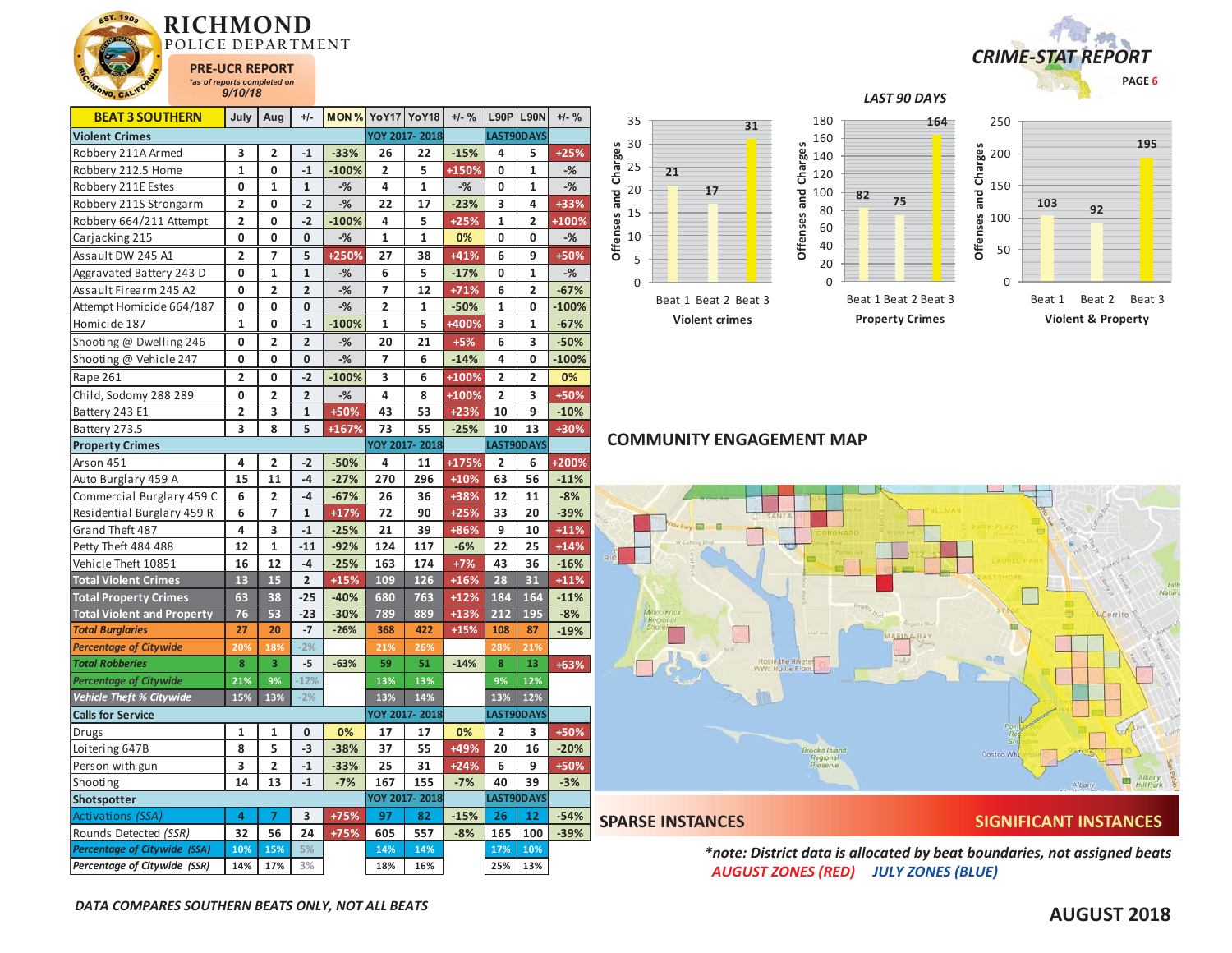

| <b>BEAT 3 SOUTHERN</b>              | July                    | Aug                     | $+/-$          |         | <b>MON % YoY17 YoY18</b> |                      | $+/-$ % |                | <b>L90P L90N</b> | $+/-$ % |  |
|-------------------------------------|-------------------------|-------------------------|----------------|---------|--------------------------|----------------------|---------|----------------|------------------|---------|--|
| <b>Violent Crimes</b>               |                         |                         |                |         |                          | YOY 2017-2018        |         |                | LAST90DAYS       |         |  |
| Robbery 211A Armed                  | 3                       | 2                       | $-1$           | $-33%$  | 26                       | 22                   | $-15%$  | 4              | 5                | $+25%$  |  |
| Robbery 212.5 Home                  | $\mathbf 1$             | 0                       | $-1$           | $-100%$ | 2                        | 5                    | +150%   | 0              | 1                | $-%$    |  |
| Robbery 211E Estes                  | 0                       | 1                       | $\mathbf{1}$   | $-%$    | 4                        | 1                    | $-%$    | 0              | 1                | $-$ %   |  |
| Robbery 211S Strongarm              | $\overline{2}$          | 0                       | $-2$           | $-$ %   | 22                       | 17                   | $-23%$  | 3              | 4                | +33%    |  |
| Robbery 664/211 Attempt             | $\overline{\mathbf{2}}$ | 0                       | $-2$           | $-100%$ | 4                        | 5                    | $+25%$  | $\mathbf{1}$   | 2                | +100%   |  |
| Carjacking 215                      | 0                       | 0                       | 0              | $-%$    | 1                        | 1                    | 0%      | 0              | 0                | $-$ %   |  |
| Assault DW 245 A1                   | $\overline{2}$          | 7                       | 5              | +250%   | 27                       | 38                   | $+41%$  | 6              | 9                | +50%    |  |
| Aggravated Battery 243 D            | 0                       | 1                       | $\mathbf{1}$   | $-$ %   | 6                        | 5                    | $-17%$  | 0              | $\mathbf{1}$     | $-%$    |  |
| Assault Firearm 245 A2              | 0                       | $\overline{2}$          | $\overline{2}$ | $-%$    | 7                        | 12                   | $+71%$  | 6              | 2                | $-67%$  |  |
| Attempt Homicide 664/187            | 0                       | 0                       | 0              | $-$ %   | $\overline{2}$           | 1                    | $-50%$  | $\mathbf{1}$   | 0                | $-100%$ |  |
| Homicide 187                        | $\mathbf{1}$            | 0                       | $-1$           | $-100%$ | 1                        | 5                    | +400%   | 3              | 1                | $-67%$  |  |
| Shooting @ Dwelling 246             | 0                       | 2                       | $\overline{2}$ | $-%$    | 20                       | 21                   | $+5%$   | 6              | 3                | $-50%$  |  |
| Shooting @ Vehicle 247              | 0                       | 0                       | 0              | $-$ %   | 7                        | 6                    | $-14%$  | 4              | 0                | $-100%$ |  |
| Rape 261                            | $\overline{2}$          | 0                       | $-2$           | $-100%$ | 3                        | 6                    | +100%   | $\overline{2}$ | 2                | 0%      |  |
| Child, Sodomy 288 289               | 0                       | 2                       | $\overline{2}$ | $-$ %   | 4                        | 8                    | +100%   | 2              | 3                | +50%    |  |
| Battery 243 E1                      | $\overline{\mathbf{c}}$ | 3                       | $\mathbf{1}$   | +50%    | 43                       | 53                   | $+23%$  | 10             | 9                | $-10%$  |  |
| Battery 273.5                       | 3                       | 8                       | 5              | +167%   | 73                       | 55                   | $-25%$  | 10             | 13               | +30%    |  |
| <b>Property Crimes</b>              |                         |                         |                |         |                          | YOY 2017-2018        |         |                | LAST90DAYS       |         |  |
| Arson 451                           | 4                       | 2                       | $-2$           | $-50%$  | 4                        | 11                   | +175%   | $\overline{2}$ | 6                | +200%   |  |
| Auto Burglary 459 A                 | 15                      | 11                      | $-4$           | $-27%$  | 270                      | 296                  | $+10%$  | 63             | 56               | $-11%$  |  |
| Commercial Burglary 459 C           | 6                       | 2                       | $-4$           | $-67%$  | 26                       | 36                   | +38%    | 12             | 11               | $-8%$   |  |
| Residential Burglary 459 R          | 6                       | $\overline{7}$          | $\mathbf{1}$   | $+17%$  | 72                       | 90                   | $+25%$  | 33             | 20               | $-39%$  |  |
| Grand Theft 487                     | 4                       | 3                       | $-1$           | $-25%$  | 21                       | 39                   | +86%    | 9              | 10               | $+11%$  |  |
| Petty Theft 484 488                 | 12                      | $\mathbf{1}$            | $-11$          | $-92%$  | 124                      | 117                  | $-6%$   | 22             | 25               | $+14%$  |  |
| Vehicle Theft 10851                 | 16                      | 12                      | $-4$           | $-25%$  | 163                      | 174                  | $+7%$   | 43             | 36               | $-16%$  |  |
| <b>Total Violent Crimes</b>         | 13                      | 15                      | $\overline{2}$ | $+15%$  | 109                      | 126                  | $+16%$  | 28             | 31               | $+11%$  |  |
| <b>Total Property Crimes</b>        | 63                      | 38                      | $-25$          | $-40%$  | 680                      | 763                  | $+12%$  | 184            | 164              | $-11%$  |  |
| <b>Total Violent and Property</b>   | 76                      | 53                      | $-23$          | $-30%$  | 789                      | 889                  | $+13%$  | 212            | 195              | $-8%$   |  |
| <b>Total Burglaries</b>             | 27                      | 20                      | $-7$           | $-26%$  | 368                      | 422                  | $+15%$  | 108            | 87               | $-19%$  |  |
| <b>Percentage of Citywide</b>       | 20%                     | 18%                     | $-2%$          |         | 21%                      | 26%                  |         | 28%            | 21%              |         |  |
| <b>Total Robberies</b>              | 8                       | $\overline{\mathbf{3}}$ | $-5$           | $-63%$  | 59                       | 51                   | $-14%$  | 8              | 13               | +63%    |  |
| <b>Percentage of Citywide</b>       | 21%                     | 9%                      | $-12%$         |         | 13%                      | 13%                  |         | 9%             | 12%              |         |  |
| <b>Vehicle Theft % Citywide</b>     | 15%                     | 13%                     | $-2%$          |         | 13%                      | 14%                  |         | 13%            | 12%              |         |  |
| <b>Calls for Service</b>            |                         |                         |                |         |                          | YOY 2017-2018        |         |                | LAST90DAYS       |         |  |
| Drugs                               | 1                       | 1                       | 0              | 0%      | 17                       | 17                   | 0%      | 2              | 3                | +50%    |  |
| Loitering 647B                      | 8                       | 5                       | $-3$           | $-38%$  | 37                       | 55                   | +49%    | 20             | 16               | $-20%$  |  |
| Person with gun                     | 3                       | 2                       | $-1$           | $-33%$  | 25                       | 31                   | $+24%$  | 6              | 9                | +50%    |  |
| Shooting                            | 14                      | 13                      | $-1$           | $-7%$   | 167                      | 155                  | $-7%$   | 40             | 39               | $-3%$   |  |
| <b>Shotspotter</b>                  |                         |                         |                |         |                          | <b>YOY 2017-2018</b> |         |                | LAST90DAYS       |         |  |
| Activations (SSA)                   | 4                       | 7                       | 3              | +75%    | 97                       | 82                   | $-15%$  | 26             | 12               | $-54%$  |  |
| Rounds Detected (SSR)               | 32                      | 56                      | 24             | +75%    | 605                      | 557                  | $-8%$   | 165            | 100              | $-39%$  |  |
| <b>Percentage of Citywide (SSA)</b> | 10%                     | 15%                     | 5%             |         | 14%                      | 14%                  |         | 17%            | 10%              |         |  |
| Percentage of Citywide (SSR)        | 14%                     | 17%                     | 3%             |         | 18%                      | 16%                  |         | 25%            | 13%              |         |  |



**195**

## *LAST 90 DAYS*



**Offenses and Charges**



# **COMMUNITY ENGAGEMENT MAP**



**SPARSE INSTANCES SIGNIFICANT INSTANCES** 

*\*note: District data is allocated by beat boundaries, not assigned beats AUGUST ZONES (RED) JULY ZONES (BLUE)*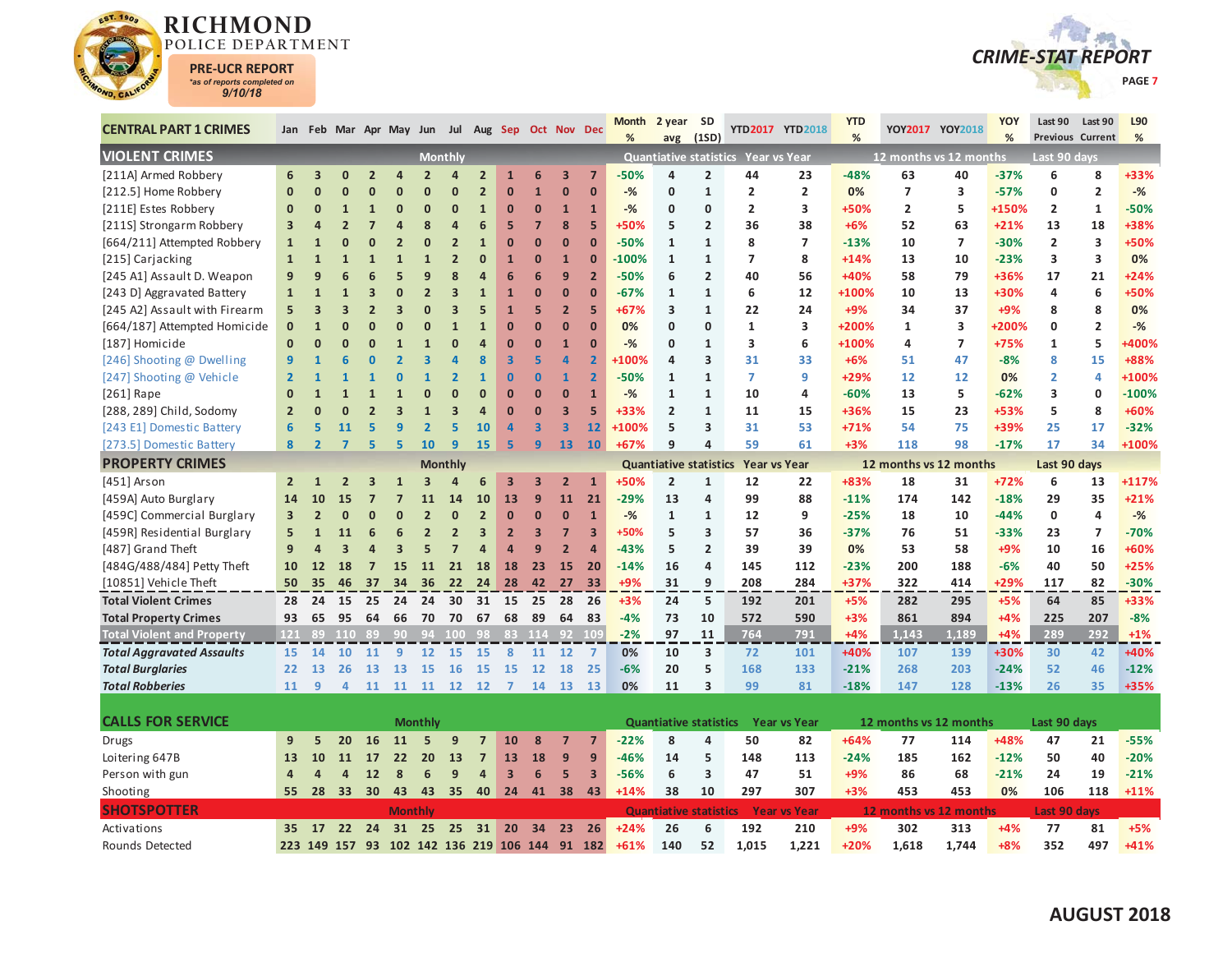



| <b>CENTRAL PART 1 CRIMES</b>      |                |                |                         |                |                          |                         |                         |                         |                         | Jan Feb Mar Apr May Jun Jul Aug Sep Oct Nov Dec |                         |                         | <b>Month</b><br>% | 2 year<br>avg                 | <b>SD</b><br>(1SD) |                                     | YTD2017 YTD2018     | <b>YTD</b><br>% |                        | YOY2017 YOY2018 | YOY<br>% | Last 90             | Last 90<br><b>Previous Current</b> | L90<br>%     |
|-----------------------------------|----------------|----------------|-------------------------|----------------|--------------------------|-------------------------|-------------------------|-------------------------|-------------------------|-------------------------------------------------|-------------------------|-------------------------|-------------------|-------------------------------|--------------------|-------------------------------------|---------------------|-----------------|------------------------|-----------------|----------|---------------------|------------------------------------|--------------|
| <b>VIOLENT CRIMES</b>             |                |                |                         |                |                          |                         | <b>Monthly</b>          |                         |                         |                                                 |                         |                         |                   |                               |                    | Quantiative statistics Year vs Year |                     |                 | 12 months vs 12 months |                 |          | Last 90 days        |                                    |              |
| [211A] Armed Robbery              | 6              | 3              | $\mathbf{0}$            | $\overline{2}$ | 4                        | $\overline{2}$          | $\overline{a}$          | $\overline{2}$          | $\mathbf{1}$            | 6                                               | $\overline{\mathbf{3}}$ | $\overline{7}$          | $-50%$            | 4                             | $\overline{2}$     | 44                                  | 23                  | $-48%$          | 63                     | 40              | $-37%$   | 6                   | 8                                  | +33%         |
| [212.5] Home Robbery              | $\mathbf{0}$   | ŋ              | n                       | $\Omega$       | n                        | $\Omega$                | $\mathbf 0$             | $\overline{2}$          | $\mathbf{0}$            | $\mathbf{1}$                                    | $\mathbf{0}$            | $\mathbf{0}$            | $-%$              | $\mathbf 0$                   | $\mathbf{1}$       | $\overline{2}$                      | $\overline{2}$      | 0%              | $\overline{7}$         | 3               | $-57%$   | 0                   | $\overline{2}$                     | $-%$         |
| [211E] Estes Robbery              | $\mathbf{0}$   | $\mathbf{0}$   | $\mathbf{1}$            | $\mathbf{1}$   | $\bf{0}$                 | $\mathbf 0$             | $\mathbf{0}$            | $\mathbf{1}$            | $\overline{0}$          | $\mathbf{0}$                                    | $\mathbf{1}$            | $\mathbf{1}$            | $-$ %             | $\mathbf 0$                   | 0                  | $\overline{\mathbf{2}}$             | 3                   | +50%            | 2                      | 5               | +150%    | 2                   | $\mathbf{1}$                       | $-50%$       |
| [211S] Strongarm Robbery          | 3              |                | $\overline{2}$          |                |                          | 8                       | $\overline{a}$          | 6                       | 5                       | $\overline{7}$                                  | 8                       | 5                       | +50%              | 5                             | $\overline{2}$     | 36                                  | 38                  | $+6%$           | 52                     | 63              | $+21%$   | 13                  | 18                                 | +38%         |
| [664/211] Attempted Robbery       | $\mathbf{1}$   | $\mathbf{1}$   | Ω                       |                | $\overline{\mathbf{z}}$  | $\Omega$                | $\overline{2}$          | $\mathbf{1}$            | $\overline{0}$          | $\mathbf{0}$                                    | $\mathbf{0}$            | $\mathbf{0}$            | $-50%$            | $\mathbf{1}$                  | $\mathbf{1}$       | 8                                   | $\overline{7}$      | $-13%$          | 10                     | $\overline{7}$  | $-30%$   | $\overline{2}$      | 3                                  | +50%         |
| [215] Carjacking                  | $\mathbf{1}$   | $\mathbf{1}$   |                         |                | $\overline{1}$           | $\overline{1}$          | $\overline{2}$          | $\mathbf 0$             | $\mathbf{1}$            | $\mathbf{0}$                                    | $\mathbf{1}$            | $\Omega$                | $-100%$           | $\mathbf{1}$                  | $\mathbf{1}$       | $\overline{ }$                      | 8                   | $+14%$          | 13                     | 10              | $-23%$   | 3                   | 3                                  | 0%           |
| [245 A1] Assault D. Weapon        | 9              | 9              |                         |                | 5                        | 9                       | 8                       | $\overline{a}$          | 6                       | 6                                               | 9                       | $\overline{2}$          | $-50%$            | 6                             | $\overline{2}$     | 40                                  | 56                  | +40%            | 58                     | 79              | +36%     | 17                  | 21                                 | $+24%$       |
| [243 D] Aggravated Battery        | $\mathbf{1}$   | $\mathbf{1}$   |                         | 3              | $\Omega$                 | $\overline{\mathbf{z}}$ | $\overline{\mathbf{3}}$ | $\mathbf{1}$            | $\overline{1}$          | $\mathbf{0}$                                    | $\mathbf{0}$            | $\mathbf{0}$            | $-67%$            | $\mathbf{1}$                  | $\mathbf{1}$       | 6                                   | 12                  | +100%           | 10                     | 13              | +30%     | 4                   | 6                                  | +50%         |
| [245 A2] Assault with Firearm     | 5              | 3              | $\overline{\mathbf{3}}$ | $\overline{2}$ | 3                        | $\Omega$                | $\overline{\mathbf{3}}$ | 5                       | $\mathbf{1}$            | 5                                               | $\overline{2}$          | 5                       | +67%              | 3                             | $\mathbf{1}$       | 22                                  | 24                  | $+9%$           | 34                     | 37              | $+9%$    | 8                   | 8                                  | 0%           |
| [664/187] Attempted Homicide      | $\mathbf{0}$   | $\overline{1}$ |                         | $\Omega$       | $\Omega$                 | $\mathbf 0$             | $\mathbf{1}$            | $\mathbf{1}$            | $\overline{0}$          | $\mathbf{0}$                                    | $\mathbf{0}$            | $\mathbf{0}$            | 0%                | $\mathbf{0}$                  | $\Omega$           | $\mathbf{1}$                        | 3                   | +200%           | $\mathbf{1}$           | 3               | +200%    | 0                   | $\overline{2}$                     | $-$ %        |
| [187] Homicide                    | $\bf{0}$       | ŋ              |                         |                | $\mathbf{1}$             | $\mathbf{1}$            | $\Omega$                | $\overline{a}$          | $\overline{0}$          | $\mathbf{0}$                                    | $\mathbf{1}$            | $\Omega$                | $-$ %             | $\mathbf{0}$                  | $\mathbf{1}$       | 3                                   | 6                   | +100%           | 4                      | $\overline{7}$  | +75%     | $\mathbf{1}$        | 5                                  | <b>+400%</b> |
| [246] Shooting @ Dwelling         | 9              |                |                         |                | $\overline{\phantom{a}}$ | $\overline{\mathbf{3}}$ | $\overline{a}$          | 8                       | $\overline{\mathbf{3}}$ | 5                                               | $\overline{a}$          | $\overline{2}$          | <b>+100%</b>      | 4                             | 3                  | 31                                  | 33                  | $+6%$           | 51                     | 47              | $-8%$    | 8                   | 15                                 | +88%         |
| [247] Shooting @ Vehicle          | $\overline{2}$ |                |                         |                | 0                        | $\overline{1}$          | $\overline{2}$          | $\mathbf{1}$            | $\overline{0}$          | $\mathbf{0}$                                    | 1                       | $\overline{2}$          | $-50%$            | 1                             | $\mathbf{1}$       | $\overline{7}$                      | 9                   | +29%            | 12                     | 12              | 0%       | $\overline{2}$      | 4                                  | +100%        |
| [ $261$ ] Rape                    | $\mathbf{0}$   | $\mathbf{1}$   |                         |                | $\overline{1}$           | O                       | $\overline{0}$          | $\mathbf{0}$            | $\overline{0}$          | $\mathbf{0}$                                    | $\mathbf{0}$            | $\mathbf{1}$            | $-%$              | $\mathbf{1}$                  | $\mathbf{1}$       | 10                                  | 4                   | $-60%$          | 13                     | 5               | $-62%$   | 3                   | $\mathbf 0$                        | $-100%$      |
| [288, 289] Child, Sodomy          | $\overline{2}$ | $\Omega$       | $\Omega$                |                | 3                        | $\overline{1}$          | $\overline{3}$          | $\overline{4}$          | $\mathbf{0}$            | $\mathbf{0}$                                    | $\overline{3}$          | 5                       | +33%              | $\overline{2}$                | $\mathbf{1}$       | 11                                  | 15                  | +36%            | 15                     | 23              | +53%     | 5                   | 8                                  | +60%         |
| [243 E1] Domestic Battery         | $6\phantom{1}$ | 5              | 11                      | 5              | 9                        | $\overline{2}$          | 5                       | 10                      | $\overline{a}$          | $\overline{\mathbf{3}}$                         | 3                       | 12                      | +100%             | 5                             | 3                  | 31                                  | 53                  | $+71%$          | 54                     | 75              | +39%     | 25                  | 17                                 | $-32%$       |
| [273.5] Domestic Battery          | 8              | $\overline{2}$ | $\overline{7}$          | 5              | 5                        | 10                      | $\overline{9}$          | 15                      | 5                       | $\overline{9}$                                  | 13                      | 10                      | $+67%$            | 9                             | 4                  | 59                                  | 61                  | $+3%$           | 118                    | 98              | $-17%$   | 17                  | 34                                 | +100%        |
| <b>PROPERTY CRIMES</b>            |                |                |                         |                |                          |                         | <b>Monthly</b>          |                         |                         |                                                 |                         |                         |                   | <b>Quantiative statistics</b> |                    | <b>Year vs Year</b>                 |                     |                 | 12 months vs 12 months |                 |          | Last 90 days        |                                    |              |
| [451] Arson                       | $\overline{2}$ | 1              | $\overline{2}$          | 3              | $\mathbf{1}$             | $\overline{3}$          | $\Delta$                | 6                       | 3                       | 3                                               | $\overline{2}$          | $\mathbf{1}$            | +50%              | $\overline{2}$                | $\mathbf{1}$       | 12                                  | 22                  | +83%            | 18                     | 31              | $+72%$   | 6                   | 13                                 | +117%        |
| [459A] Auto Burglary              | 14             | 10             | 15                      |                |                          | 11                      | 14                      | 10                      | 13                      | 9                                               | 11                      | 21                      | $-29%$            | 13                            | 4                  | 99                                  | 88                  | $-11%$          | 174                    | 142             | $-18%$   | 29                  | 35                                 | $+21%$       |
| [459C] Commercial Burglary        | 3              | $\overline{2}$ | $\Omega$                | $\Omega$       | $\Omega$                 | $\overline{2}$          | $\mathbf{0}$            | $\overline{2}$          | $\mathbf{0}$            | $\mathbf{0}$                                    | $\mathbf{0}$            | $\mathbf{1}$            | $-%$              | $\mathbf{1}$                  | $\mathbf{1}$       | 12                                  | 9                   | $-25%$          | 18                     | 10              | $-44%$   | 0                   | 4                                  | $-$ %        |
| [459R] Residential Burglary       | 5              | $\mathbf{1}$   | 11                      | 6              | 6                        | $\overline{2}$          | $\overline{2}$          | $\overline{\mathbf{3}}$ | $\overline{2}$          | $\overline{\mathbf{3}}$                         | $\overline{7}$          | $\overline{\mathbf{3}}$ | +50%              | 5                             | 3                  | 57                                  | 36                  | $-37%$          | 76                     | 51              | -33%     | 23                  | $\overline{\phantom{a}}$           | $-70%$       |
| [487] Grand Theft                 | 9              | 4              | $\overline{\mathbf{3}}$ |                | 3                        | 5                       | $\overline{7}$          | $\overline{a}$          | $\overline{a}$          | 9                                               | $\overline{2}$          | $\overline{a}$          | $-43%$            | 5                             | $\overline{2}$     | 39                                  | 39                  | 0%              | 53                     | 58              | $+9%$    | 10                  | 16                                 | +60%         |
| [484G/488/484] Petty Theft        | 10             | 12             | 18                      | $\overline{7}$ | 15                       | 11                      | 21                      | 18                      | 18                      | 23                                              | 15                      | 20                      | $-14%$            | 16                            | 4                  | 145                                 | 112                 | $-23%$          | 200                    | 188             | $-6%$    | 40                  | 50                                 | $+25%$       |
| [10851] Vehicle Theft             | 50             | 35             | 46                      | 37             | 34                       | 36                      | 22                      | 24                      | 28                      | 42                                              | 27                      | 33                      | $+9%$             | 31                            | 9                  | 208                                 | 284                 | +37%            | 322                    | 414             | +29%     | 117                 | 82                                 | $-30%$       |
| <b>Total Violent Crimes</b>       | 28             | 24             | 15                      | 25             | 24                       | 24                      | 30                      |                         | 31 15                   | 25                                              | 28                      | - 26                    | $+3%$             | 24                            | 5                  | 192                                 | 201                 | $+5%$           | 282                    | 295             | $+5%$    | 64                  | 85                                 | +33%         |
| <b>Total Property Crimes</b>      | 93             | 65             | 95                      | 64             | 66                       | 70                      | 70                      | 67                      | 68                      | 89                                              | 64                      | 83                      | $-4%$             | 73                            | 10                 | 572                                 | 590                 | $+3%$           | 861                    | 894             | $+4%$    | 225                 | 207                                | $-8%$        |
| <b>Total Violent and Property</b> | $121$          | τc             | $110^{-7}$              | -89            |                          | 90 94 100 98            |                         |                         |                         | 83 114                                          | $92 - 109$              |                         | $-2%$             | 97                            | 11                 | 764                                 | 791                 | $+4%$           | 1.143                  | 1.189           | $+4%$    | 289                 | 292                                | $+1%$        |
| <b>Total Aggravated Assaults</b>  | 15             | 14             | 10                      | 11             | $\overline{9}$           | 12                      | 15                      | <sup>15</sup>           | 8                       | 11                                              | 12                      | $\overline{7}$          | 0%                | 10                            | 3                  | 72                                  | 101                 | +40%            | 107                    | 139             | +30%     | 30                  | 42                                 | +40%         |
| <b>Total Burglaries</b>           | 22             | 13             | 26                      | 13             | <b>13</b>                | <b>15</b>               | <b>16</b>               | <b>15</b>               | <b>15</b>               | 12                                              | 18                      | 25                      | $-6%$             | 20                            | 5                  | 168                                 | 133                 | $-21%$          | 268                    | 203             | $-24%$   | 52                  | 46                                 | $-12%$       |
| <b>Total Robberies</b>            | 11             | 9              | 4                       | 11             | 11                       | 11                      | 12                      | 12                      | $\overline{7}$          | 14                                              | 13                      | 13                      | 0%                | 11                            | 3                  | 99                                  | 81                  | $-18%$          | 147                    | 128             | $-13%$   | 26                  | 35                                 | +35%         |
|                                   |                |                |                         |                |                          |                         |                         |                         |                         |                                                 |                         |                         |                   |                               |                    |                                     |                     |                 |                        |                 |          |                     |                                    |              |
| <b>CALLS FOR SERVICE</b>          |                |                |                         |                |                          | <b>Monthly</b>          |                         |                         |                         |                                                 |                         |                         |                   | <b>Quantiative statistics</b> |                    |                                     | <b>Year vs Year</b> |                 | 12 months vs 12 months |                 |          | Last 90 days        |                                    |              |
| Drugs                             | 9              | 5              | 20                      | 16             | 11                       | 5                       | 9                       | $\overline{7}$          | 10                      | 8                                               | $\overline{7}$          | $\overline{7}$          | $-22%$            | 8                             | 4                  | 50                                  | 82                  | $+64%$          | 77                     | 114             | +48%     | 47                  | 21                                 | $-55%$       |
| Loitering 647B                    | 13             | 10             | 11                      | 17             | 22                       | 20                      | 13                      | $\overline{7}$          | 13                      | 18                                              | 9                       | 9                       | $-46%$            | 14                            | 5                  | 148                                 | 113                 | $-24%$          | 185                    | 162             | $-12%$   | 50                  | 40                                 | $-20%$       |
| Person with gun                   | 4              | Δ              | $\overline{a}$          | 12             | 8                        | 6                       | 9                       | $\overline{a}$          | $\overline{\mathbf{3}}$ | 6                                               | 5 <sup>1</sup>          | 3                       | $-56%$            | 6                             | 3                  | 47                                  | 51                  | $+9%$           | 86                     | 68              | $-21%$   | 24                  | 19                                 | $-21%$       |
| Shooting                          | 55             | 28             | 33 <sup>2</sup>         | 30             | 43                       | 43                      | 35                      | 40                      | 24                      | 41                                              | 38                      | 43                      | $+14%$            | 38                            | 10                 | 297                                 | 307                 | $+3%$           | 453                    | 453             | 0%       | 106                 | 118                                | $+11%$       |
| <b>SHOTSPOTTER</b>                |                |                |                         |                | <b>Monthly</b>           |                         |                         |                         |                         |                                                 |                         |                         |                   | <b>Quantiative statistics</b> |                    |                                     | <b>Year vs Year</b> |                 | 12 months vs 12 months |                 |          | <b>Last 90 days</b> |                                    |              |
| Activations                       | 35             | <b>17</b>      |                         | 22 24          |                          | 31 25                   |                         | 25 31                   | 20                      | 34                                              | 23                      | 26                      | $+24%$            | 26                            | 6                  | 192                                 | 210                 | $+9%$           | 302                    | 313             | $+4%$    | 77                  | 81                                 | $+5%$        |
| Rounds Detected                   |                |                |                         |                |                          |                         |                         |                         |                         | 223 149 157 93 102 142 136 219 106 144 91 182   |                         |                         | $+61%$            | 140                           | 52                 | 1.015                               | 1.221               | $+20%$          | 1.618                  | 1.744           | $+8%$    | 352                 | 497                                | $+41%$       |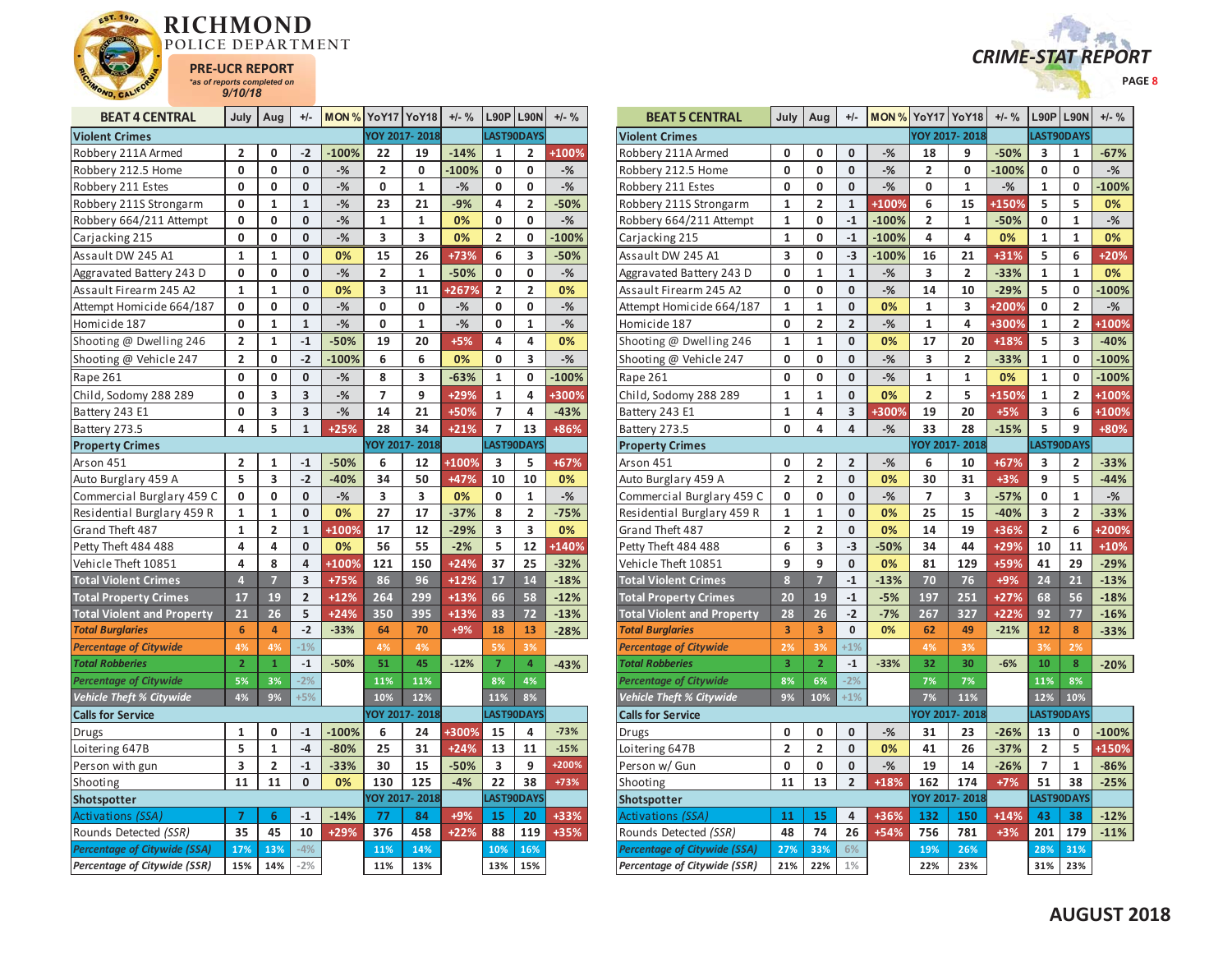



| <b>BEAT 4 CENTRAL</b>               | July           | Aug            | $+/-$          | <b>MON % YoY17 YoY18</b> |     |               | $+/-$ % |                | $L90P$ L90N    | $+/-$ % |
|-------------------------------------|----------------|----------------|----------------|--------------------------|-----|---------------|---------|----------------|----------------|---------|
| <b>Violent Crimes</b>               |                |                |                |                          |     | YOY 2017-2018 |         |                | LAST90DAYS     |         |
| Robbery 211A Armed                  | 2              | 0              | -2             | $-100%$                  | 22  | 19            | $-14%$  | 1              | 2              | +100%   |
| Robbery 212.5 Home                  | 0              | 0              | 0              | $-%$                     | 2   | 0             | $-100%$ | 0              | 0              | $-%$    |
| Robbery 211 Estes                   | 0              | 0              | 0              | $-$ %                    | 0   | $\mathbf 1$   | $-%$    | 0              | 0              | $-%$    |
| Robbery 211S Strongarm              | 0              | $\mathbf{1}$   | $\mathbf{1}$   | $-%$                     | 23  | 21            | $-9%$   | 4              | 2              | $-50%$  |
| Robbery 664/211 Attempt             | 0              | 0              | 0              | $-$ %                    | 1   | 1             | 0%      | 0              | 0              | $-%$    |
| Carjacking 215                      | 0              | 0              | $\mathbf 0$    | $-%$                     | 3   | 3             | 0%      | 2              | 0              | $-100%$ |
| Assault DW 245 A1                   | $\mathbf{1}$   | 1              | 0              | 0%                       | 15  | 26            | +73%    | 6              | 3              | $-50%$  |
| Aggravated Battery 243 D            | 0              | 0              | 0              | $-%$                     | 2   | 1             | $-50%$  | 0              | 0              | $-$ %   |
| Assault Firearm 245 A2              | $\mathbf{1}$   | $\mathbf{1}$   | 0              | 0%                       | 3   | 11            | +267%   | $\overline{2}$ | 2              | 0%      |
| Attempt Homicide 664/187            | 0              | 0              | $\mathbf 0$    | $-%$                     | 0   | 0             | $-%$    | 0              | 0              | $-%$    |
| Homicide 187                        | 0              | $\mathbf{1}$   | $\mathbf{1}$   | $-%$                     | 0   | 1             | $-$ %   | 0              | $\mathbf{1}$   | $-%$    |
| Shooting @ Dwelling 246             | 2              | $\mathbf{1}$   | $-1$           | $-50%$                   | 19  | 20            | $+5%$   | 4              | 4              | 0%      |
| Shooting @ Vehicle 247              | $\overline{2}$ | O              | $-2$           | $-100%$                  | 6   | 6             | 0%      | 0              | 3              | $-$ %   |
| Rape 261                            | 0              | 0              | 0              | $-%$                     | 8   | 3             | $-63%$  | $\mathbf{1}$   | 0              | $-100%$ |
| Child, Sodomy 288 289               | 0              | 3              | 3              | $-$ %                    | 7   | 9             | +29%    | $\mathbf{1}$   | 4              | +300%   |
| Battery 243 E1                      | 0              | 3              | 3              | $-%$                     | 14  | 21            | +50%    | 7              | 4              | $-43%$  |
| Battery 273.5                       | 4              | 5              | $\overline{1}$ | $+25%$                   | 28  | 34            | $+21%$  | 7              | 13             | +86%    |
| <b>Property Crimes</b>              |                |                |                |                          |     | YOY 2017-2018 |         |                | LAST90DAYS     |         |
| Arson 451                           | $\overline{2}$ | $\mathbf{1}$   | $-1$           | $-50%$                   | 6   | 12            | +100%   | 3              | 5              | $+67%$  |
| Auto Burglary 459 A                 | 5              | 3              | $-2$           | $-40%$                   | 34  | 50            | $+47%$  | 10             | 10             | 0%      |
| Commercial Burglary 459 C           | 0              | 0              | 0              | $-%$                     | 3   | 3             | 0%      | 0              | 1              | $-%$    |
| Residential Burglary 459 R          | $\mathbf 1$    | $\mathbf{1}$   | 0              | 0%                       | 27  | 17            | $-37%$  | 8              | 2              | $-75%$  |
| Grand Theft 487                     | 1              | 2              | $\mathbf{1}$   | +100%                    | 17  | 12            | $-29%$  | 3              | 3              | 0%      |
| Petty Theft 484 488                 | 4              | 4              | 0              | 0%                       | 56  | 55            | $-2%$   | 5              | 12             | +140%   |
| Vehicle Theft 10851                 | 4              | 8              | 4              | +100%                    | 121 | 150           | $+24%$  | 37             | 25             | $-32%$  |
| <b>Total Violent Crimes</b>         | $\overline{4}$ | $\overline{7}$ | 3              | +75%                     | 86  | 96            | $+12%$  | 17             | 14             | $-18%$  |
| <b>Total Property Crimes</b>        | 17             | 19             | $\overline{2}$ | $+12%$                   | 264 | 299           | $+13%$  | 66             | 58             | $-12%$  |
| <b>Total Violent and Property</b>   | 21             | 26             | 5              | $+24%$                   | 350 | 395           | $+13%$  | 83             | 72             | $-13%$  |
| <b>Total Burglaries</b>             | 6              | 4              | $-2$           | $-33%$                   | 64  | 70            | $+9%$   | 18             | 13             | $-28%$  |
| <b>Percentage of Citywide</b>       | 4%             | 4%             | $-1%$          |                          | 4%  | 4%            |         | 5%             | 3%             |         |
| <b>Total Robberies</b>              | $\overline{2}$ | $\overline{1}$ | $-1$           | $-50%$                   | 51  | 45            | $-12%$  | $\overline{7}$ | $\overline{4}$ | $-43%$  |
| <b>Percentage of Citywide</b>       | 5%             | 3%             | $-2%$          |                          | 11% | 11%           |         | 8%             | 4%             |         |
| Vehicle Theft % Citywide            | 4%             | 9%             | $+5%$          |                          | 10% | 12%           |         | 11%            | 8%             |         |
| <b>Calls for Service</b>            |                |                |                |                          |     | YOY 2017-2018 |         |                | LAST90DAYS     |         |
| <b>Drugs</b>                        | 1              | 0              | $-1$           | $-100%$                  | 6   | 24            | +300%   | 15             | 4              | $-73%$  |
| Loitering 647B                      | 5              | $\mathbf{1}$   | $-4$           | $-80%$                   | 25  | 31            | $+24%$  | 13             | 11             | $-15%$  |
| Person with gun                     | 3              | $\overline{2}$ | $-1$           | $-33%$                   | 30  | 15            | $-50%$  | 3              | 9              | +200%   |
| Shooting                            | 11             | 11             | 0              | 0%                       | 130 | 125           | $-4%$   | 22             | 38             | +73%    |
| Shotspotter                         |                |                |                |                          |     | YOY 2017-2018 |         |                | LAST90DAYS     |         |
| <b>Activations (SSA)</b>            | 7              | 6              | $-1$           | $-14%$                   | 77  | 84            | $+9%$   | 15             | 20             | $+33%$  |
| Rounds Detected (SSR)               | 35             | 45             | 10             | +29%                     | 376 | 458           | $+22%$  | 88             | 119            | +35%    |
| <b>Percentage of Citywide (SSA)</b> | 17%            | 13%            | $-4%$          |                          | 11% | 14%           |         | 10%            | 16%            |         |
| <b>Percentage of Citywide (SSR)</b> | 15%            | 14%            | $-2%$          |                          | 11% | 13%           |         | 13%            | 15%            |         |

| <b>BEAT 5 CENTRAL</b>               | July           | Aug                     | $+/-$                   |         | <b>MON % YoY17 YoY18</b> |                | $+/-$ % |                | <b>L90P L90N</b> | $+/-$ % |
|-------------------------------------|----------------|-------------------------|-------------------------|---------|--------------------------|----------------|---------|----------------|------------------|---------|
| <b>Violent Crimes</b>               |                |                         |                         |         |                          | YOY 2017-2018  |         |                | LAST90DAYS       |         |
| Robbery 211A Armed                  | 0              | 0                       | 0                       | $-%$    | 18                       | 9              | $-50%$  | 3              | 1                | $-67%$  |
| Robbery 212.5 Home                  | 0              | 0                       | 0                       | $-$ %   | $\overline{2}$           | 0              | $-100%$ | 0              | 0                | $-$ %   |
| Robbery 211 Estes                   | 0              | 0                       | 0                       | $-$ %   | 0                        | 1              | $-%$    | $\mathbf 1$    | 0                | $-100%$ |
| Robbery 211S Strongarm              | 1              | $\overline{2}$          | $\mathbf{1}$            | +100%   | 6                        | 15             | +150%   | 5              | 5                | 0%      |
| Robbery 664/211 Attempt             | 1              | 0                       | $-1$                    | $-100%$ | $\overline{2}$           | $\mathbf{1}$   | $-50%$  | 0              | 1                | $-%$    |
| Carjacking 215                      | $\mathbf 1$    | 0                       | $-1$                    | $-100%$ | 4                        | 4              | 0%      | $\mathbf{1}$   | 1                | 0%      |
| Assault DW 245 A1                   | 3              | 0                       | -3                      | $-100%$ | 16                       | 21             | +31%    | 5              | 6                | $+20%$  |
| Aggravated Battery 243 D            | 0              | 1                       | $\mathbf{1}$            | $-$ %   | 3                        | 2              | $-33%$  | 1              | 1                | 0%      |
| Assault Firearm 245 A2              | 0              | 0                       | 0                       | $-$ %   | 14                       | 10             | $-29%$  | 5              | 0                | $-100%$ |
| Attempt Homicide 664/187            | 1              | 1                       | 0                       | 0%      | 1                        | 3              | +200%   | 0              | 2                | $-%$    |
| Homicide 187                        | $\mathbf{0}$   | $\overline{2}$          | $\overline{2}$          | $-$ %   | $\mathbf{1}$             | 4              | +300%   | $\mathbf{1}$   | $\overline{2}$   | +100%   |
| Shooting @ Dwelling 246             | 1              | $\mathbf{1}$            | 0                       | 0%      | 17                       | 20             | $+18%$  | 5              | 3                | $-40%$  |
| Shooting @ Vehicle 247              | 0              | 0                       | 0                       | $-$ %   | 3                        | $\overline{2}$ | $-33%$  | $\mathbf{1}$   | 0                | $-100%$ |
| Rape 261                            | 0              | 0                       | 0                       | $-$ %   | $\mathbf{1}$             | 1              | 0%      | $\mathbf{1}$   | 0                | $-100%$ |
| Child, Sodomy 288 289               | $\mathbf{1}$   | $\mathbf{1}$            | 0                       | 0%      | $\overline{\mathbf{2}}$  | 5              | +150%   | $\mathbf{1}$   | $\overline{2}$   | +100%   |
| Battery 243 E1                      | $\mathbf{1}$   | 4                       | 3                       | +300%   | 19                       | 20             | $+5%$   | 3              | 6                | +100%   |
| Battery 273.5                       | 0              | 4                       | 4                       | $-%$    | 33                       | 28             | $-15%$  | 5              | 9                | +80%    |
| <b>Property Crimes</b>              |                |                         |                         |         |                          | YOY 2017-2018  |         |                | LAST90DAYS       |         |
| Arson 451                           | 0              | 2                       | 2                       | $-$ %   | 6                        | 10             | $+67%$  | 3              | 2                | $-33%$  |
| Auto Burglary 459 A                 | $\overline{2}$ | $\overline{2}$          | 0                       | 0%      | 30                       | 31             | $+3%$   | 9              | 5                | $-44%$  |
| Commercial Burglary 459 C           | 0              | 0                       | 0                       | $-$ %   | 7                        | 3              | $-57%$  | 0              | 1                | $-$ %   |
| Residential Burglary 459 R          | $\mathbf 1$    | $\mathbf{1}$            | 0                       | 0%      | 25                       | 15             | $-40%$  | 3              | 2                | $-33%$  |
| Grand Theft 487                     | 2              | 2                       | 0                       | 0%      | 14                       | 19             | +36%    | 2              | 6                | +200%   |
| Petty Theft 484 488                 | 6              | 3                       | $-3$                    | $-50%$  | 34                       | 44             | +29%    | 10             | 11               | $+10%$  |
| Vehicle Theft 10851                 | 9              | 9                       | 0                       | 0%      | 81                       | 129            | +59%    | 41             | 29               | $-29%$  |
| <b>Total Violent Crimes</b>         | 8              | 7                       | $-1$                    | $-13%$  | 70                       | 76             | $+9%$   | 24             | 21               | $-13%$  |
| <b>Total Property Crimes</b>        | 20             | 19                      | $-1$                    | $-5%$   | 197                      | 251            | $+27%$  | 68             | 56               | $-18%$  |
| <b>Total Violent and Property</b>   | 28             | 26                      | $-2$                    | $-7%$   | 267                      | 327            | $+22%$  | 92             | 77               | $-16%$  |
| <b>Total Burglaries</b>             | 3              | 3                       | $\mathbf{0}$            | 0%      | 62                       | 49             | $-21%$  | 12             | 8                | $-33%$  |
| <b>Percentage of Citywide</b>       | 2%             | 3%                      | $+1%$                   |         | 4%                       | 3%             |         | 3%             | 2%               |         |
| <b>Total Robberies</b>              | 3              | $\overline{2}$          | $-1$                    | $-33%$  | 32                       | 30             | $-6%$   | 10             | 8                | $-20%$  |
| <b>Percentage of Citywide</b>       | 8%             | 6%                      | $-2%$                   |         | 7%                       | 7%             |         | 11%            | 8%               |         |
| <b>Vehicle Theft % Citywide</b>     | 9%             | 10%                     | $+1%$                   |         | 7%                       | 11%            |         | 12%            | 10%              |         |
| <b>Calls for Service</b>            |                |                         |                         |         |                          | YOY 2017-2018  |         |                | LAST90DAYS       |         |
| Drugs                               | 0              | 0                       | 0                       | $-$ %   | 31                       | 23             | $-26%$  | 13             | 0                | $-100%$ |
| Loitering 647B                      | 2              | $\overline{\mathbf{c}}$ | 0                       | 0%      | 41                       | 26             | $-37%$  | 2              | 5                | +150%   |
| Person w/ Gun                       | 0              | 0                       | 0                       | $-%$    | 19                       | 14             | $-26%$  | $\overline{7}$ | 1                | $-86%$  |
| Shooting                            | 11             | 13                      | $\overline{\mathbf{c}}$ | $+18%$  | 162                      | 174            | $+7%$   | 51             | 38               | $-25%$  |
| Shotspotter                         |                |                         |                         |         |                          | YOY 2017-2018  |         |                | LAST90DAYS       |         |
| Activations (SSA)                   | 11             | 15                      | 4                       | +36%    | 132                      | 150            | $+14%$  | 43             | 38               | $-12%$  |
| Rounds Detected (SSR)               | 48             | 74                      | 26                      | $+54%$  | 756                      | 781            | $+3%$   | 201            | 179              | $-11%$  |
| <b>Percentage of Citywide (SSA)</b> | 27%            | 33%                     | 6%                      |         | 19%                      | 26%            |         | 28%            | 31%              |         |
| Percentage of Citywide (SSR)        | 21%            | 22%                     | 1%                      |         | 22%                      | 23%            |         | 31%            | 23%              |         |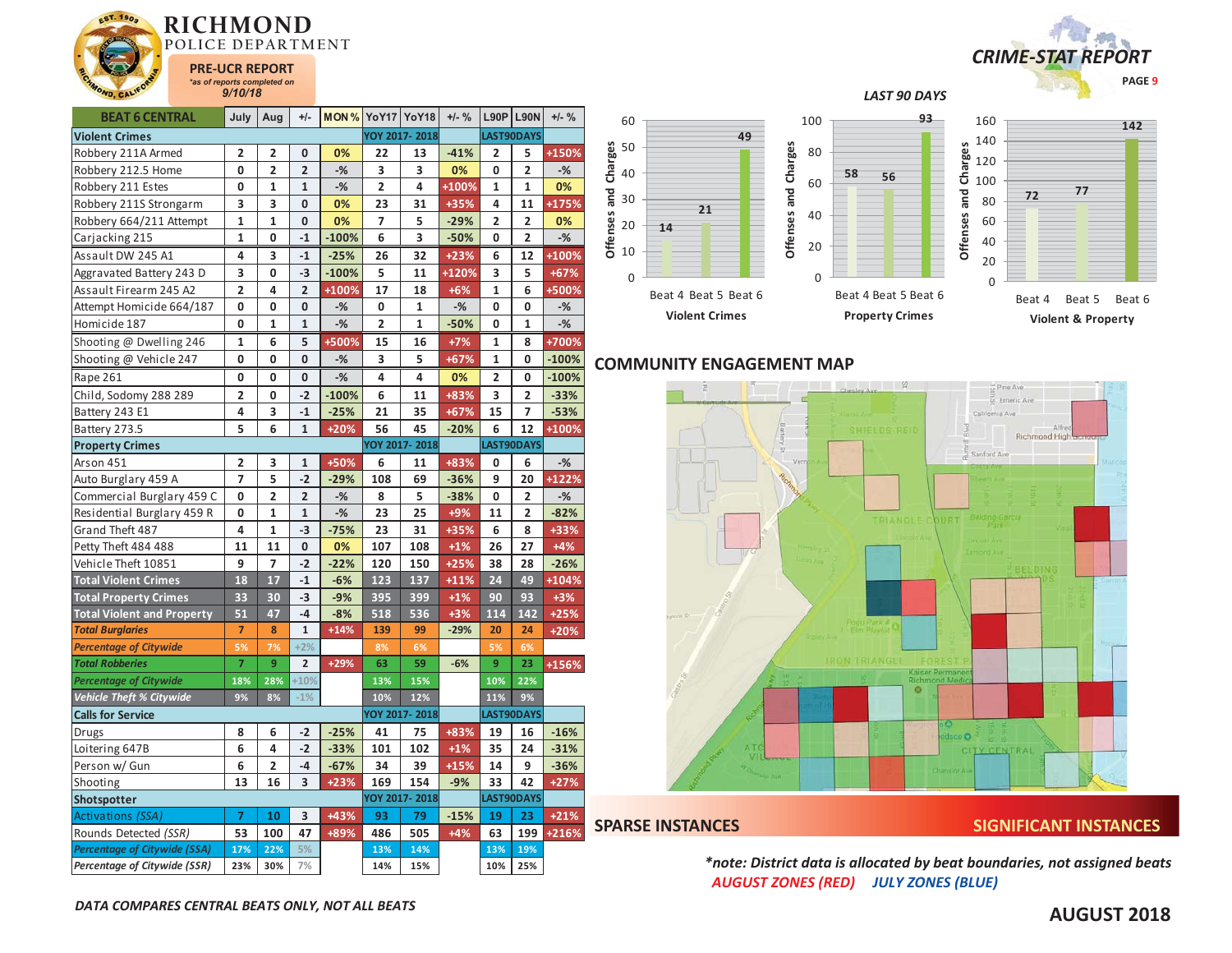

| <b>BEAT 6 CENTRAL</b>               | July                    | Aug            | $+/-$                   | <b>MON % YoY17 YoY18</b> |     |               | $+/-$ % | L90P                    | <b>L90N</b>             | $+/-$ %        |  |
|-------------------------------------|-------------------------|----------------|-------------------------|--------------------------|-----|---------------|---------|-------------------------|-------------------------|----------------|--|
| <b>Violent Crimes</b>               |                         |                |                         |                          |     | YOY 2017-2018 |         |                         | LAST90DAYS              |                |  |
| Robbery 211A Armed                  | 2                       | 2              | 0                       | 0%                       | 22  | 13            | $-41%$  | 2                       | 5                       | +150%          |  |
| Robbery 212.5 Home                  | 0                       | 2              | $\overline{\mathbf{2}}$ | $-$ %                    | 3   | 3             | 0%      | 0                       | 2                       | $-\frac{9}{6}$ |  |
| Robbery 211 Estes                   | 0                       | $\mathbf 1$    | 1                       | $-%$                     | 2   | 4             | +100%   | 1                       | 1                       | 0%             |  |
| Robbery 211S Strongarm              | 3                       | 3              | 0                       | 0%                       | 23  | 31            | +35%    | 4                       | 11                      | +175%          |  |
| Robbery 664/211 Attempt             | 1                       | 1              | 0                       | 0%                       | 7   | 5             | $-29%$  | 2                       | 2                       | 0%             |  |
| Carjacking 215                      | $\mathbf{1}$            | 0              | $-1$                    | $-100%$                  | 6   | 3             | $-50%$  | 0                       | $\overline{\mathbf{c}}$ | $-%$           |  |
| Assault DW 245 A1                   | 4                       | 3              | $-1$                    | $-25%$                   | 26  | 32            | $+23%$  | 6                       | 12                      | +100%          |  |
| Aggravated Battery 243 D            | 3                       | 0              | $-3$                    | $-100%$                  | 5   | 11            | +120%   | 3                       | 5                       | +67%           |  |
| Assault Firearm 245 A2              | $\overline{\mathbf{c}}$ | 4              | $\overline{\mathbf{c}}$ | +100%                    | 17  | 18            | $+6%$   | 1                       | 6                       | +500%          |  |
| Attempt Homicide 664/187            | 0                       | 0              | 0                       | $-$ %                    | 0   | 1             | $-%$    | 0                       | 0                       | $-%$           |  |
| Homicide 187                        | 0                       | 1              | $\mathbf{1}$            | $-$ %                    | 2   | 1             | $-50%$  | 0                       | 1                       | $-$ %          |  |
| Shooting @ Dwelling 246             | 1                       | 6              | 5                       | +500%                    | 15  | 16            | $+7%$   | 1                       | 8                       | +700%          |  |
| Shooting @ Vehicle 247              | 0                       | 0              | $\bf{0}$                | $-%$                     | 3   | 5             | $+67%$  | 1                       | 0                       | $-100%$        |  |
| Rape 261                            | 0                       | 0              | $\mathbf{0}$            | $-$ %                    | 4   | 4             | 0%      | $\overline{\mathbf{c}}$ | 0                       | $-100%$        |  |
| Child, Sodomy 288 289               | $\overline{\mathbf{c}}$ | 0              | $-2$                    | $-100%$                  | 6   | 11            | +83%    | 3                       | $\overline{2}$          | $-33%$         |  |
| Battery 243 E1                      | 4                       | 3              | $-1$                    | $-25%$                   | 21  | 35            | $+67%$  | 15                      | 7                       | $-53%$         |  |
| Battery 273.5                       | 5                       | 6              | $\mathbf{1}$            | $+20%$                   | 56  | 45            | $-20%$  | 6                       | 12                      | +100%          |  |
| <b>Property Crimes</b>              |                         |                |                         |                          |     | YOY 2017-2018 |         |                         | LAST90DAYS              |                |  |
| Arson 451                           | 2                       | 3              | $\mathbf 1$             | +50%                     | 6   | 11            | +83%    | 0                       | 6                       | $-$ %          |  |
| Auto Burglary 459 A                 | 7                       | 5              | $-2$                    | $-29%$                   | 108 | 69            | $-36%$  | 9                       | 20                      | +122%          |  |
| Commercial Burglary 459 C           | 0                       | 2              | $\overline{\mathbf{2}}$ | $-%$                     | 8   | 5             | $-38%$  | 0                       | 2                       | $-$ %          |  |
| Residential Burglary 459 R          | 0                       | $\mathbf{1}$   | $\mathbf{1}$            | $-$ %                    | 23  | 25            | +9%     | 11                      | $\overline{2}$          | $-82%$         |  |
| Grand Theft 487                     | 4                       | 1              | $-3$                    | $-75%$                   | 23  | 31            | +35%    | 6                       | 8                       | +33%           |  |
| Petty Theft 484 488                 | 11                      | 11             | 0                       | 0%                       | 107 | 108           | $+1%$   | 26                      | 27                      | $+4%$          |  |
| Vehicle Theft 10851                 | 9                       | 7              | $-2$                    | $-22%$                   | 120 | 150           | $+25%$  | 38                      | 28                      | $-26%$         |  |
| <b>Total Violent Crimes</b>         | 18                      | 17             | $-1$                    | $-6%$                    | 123 | 137           | $+11%$  | 24                      | 49                      | +104%          |  |
| <b>Total Property Crimes</b>        | 33                      | 30             | $-3$                    | $-9%$                    | 395 | 399           | $+1%$   | 90                      | 93                      | $+3%$          |  |
| <b>Total Violent and Property</b>   | 51                      | 47             | $-4$                    | $-8%$                    | 518 | 536           | $+3%$   | 114                     | 142                     | $+25%$         |  |
| <b>Total Burglaries</b>             | 7                       | 8              | $\mathbf 1$             | $+14%$                   | 139 | 99            | $-29%$  | 20                      | 24                      | $+20%$         |  |
| <b>Percentage of Citywide</b>       | 5%                      | 7%             | $+2%$                   |                          | 8%  | 6%            |         | 5%                      | 6%                      |                |  |
| <b>Total Robberies</b>              | $\overline{7}$          | 9              | $\overline{2}$          | +29%                     | 63  | 59            | $-6%$   | 9                       | 23                      | +156%          |  |
| <b>Percentage of Citywide</b>       | 18%                     | 28%            | $+10%$                  |                          | 13% | 15%           |         | 10%                     | 22%                     |                |  |
| <b>Vehicle Theft % Citywide</b>     | 9%                      | 8%             | $-1%$                   |                          | 10% | 12%           |         | 11%                     | 9%                      |                |  |
| <b>Calls for Service</b>            |                         |                |                         |                          |     | YOY 2017-2018 |         |                         | LAST90DAYS              |                |  |
| Drugs                               | 8                       | 6              | $-2$                    | $-25%$                   | 41  | 75            | +83%    | 19                      | 16                      | $-16%$         |  |
| Loitering 647B                      | 6                       | 4              | $-2$                    | $-33%$                   | 101 | 102           | $+1%$   | 35                      | 24                      | $-31%$         |  |
| Person w/ Gun                       | 6                       | $\overline{2}$ | $-4$                    | $-67%$                   | 34  | 39            | $+15%$  | 14                      | 9                       | $-36%$         |  |
| Shooting                            | 13                      | 16             | 3                       | $+23%$                   | 169 | 154           | $-9%$   | 33                      | 42                      | $+27%$         |  |
| Shotspotter                         |                         |                |                         |                          |     | YOY 2017-2018 |         |                         | LAST90DAYS              |                |  |
| Activations (SSA)                   | 7                       | 10             | 3                       | +43%                     | 93  | 79            | $-15%$  | 19                      | 23                      | $+21%$         |  |
| Rounds Detected (SSR)               | 53                      | 100            | 47                      | +89%                     | 486 | 505           | $+4%$   | 63                      | 199                     | +216%          |  |
| <b>Percentage of Citywide (SSA)</b> | 17%                     | 22%            | 5%                      |                          | 13% | 14%           |         | 13%                     | 19%                     |                |  |
| Percentage of Citywide (SSR)        | 23%                     | 30%            | 7%                      |                          | 14% | 15%           |         | 10%                     | 25%                     |                |  |

# *CRIME-STAT REPORT* **PAGE 9**



# **COMMUNITY ENGAGEMENT MAP**

**Offenses and Charges**



## **SPARSE INSTANCES SIGNIFICANT INSTANCES**

*\*note: District data is allocated by beat boundaries, not assigned beats AUGUST ZONES (RED) JULY ZONES (BLUE)*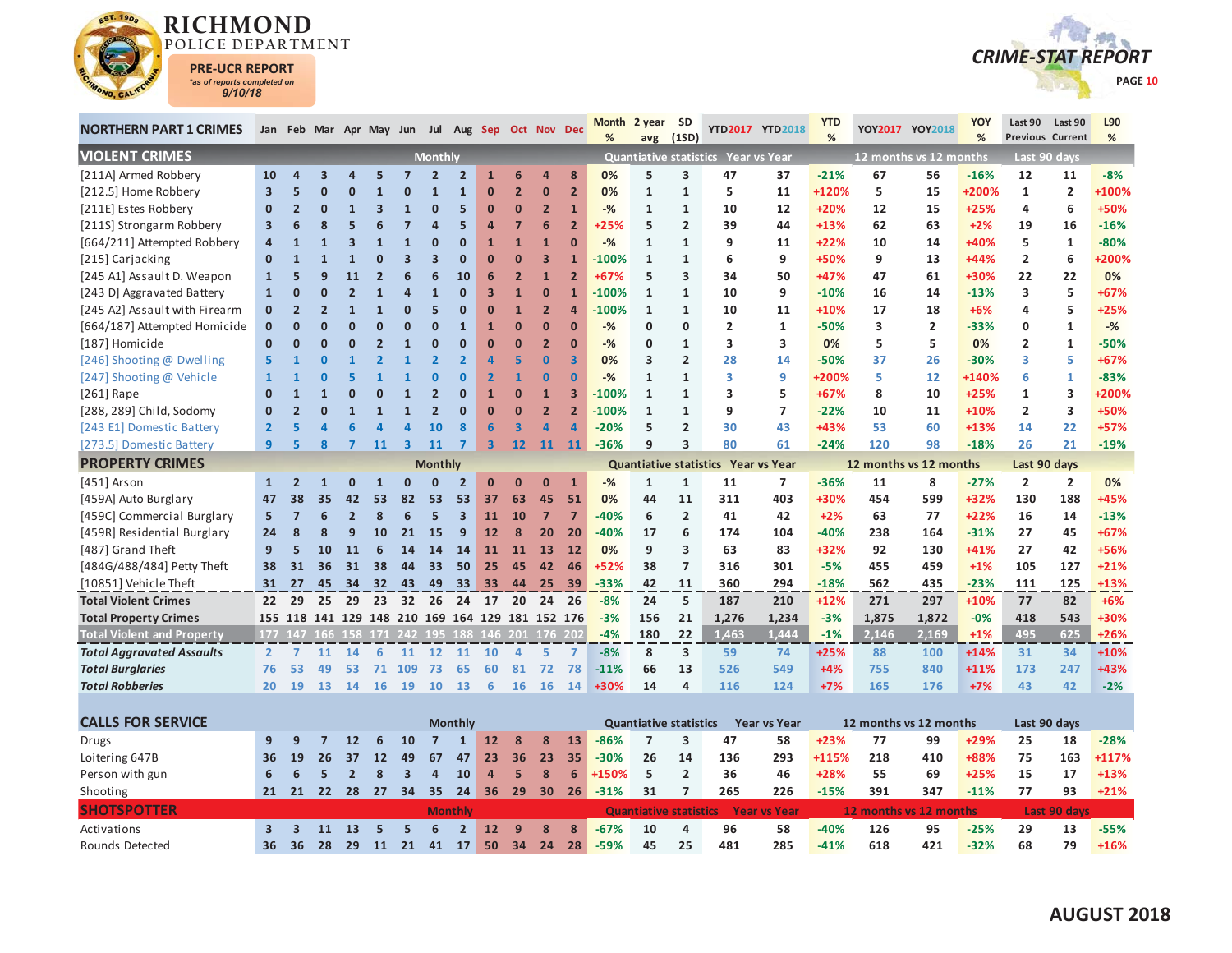

Activations

Rounds Detected

**3 3 11 13 5 5 6 2 12 9 8 8 -67%**

**36 36 28 29 11 21 41 17 50 34 24 28 -59%**



| <b>NORTHERN PART 1 CRIMES</b>     |                         |                         |                |                |              | Jan Feb Mar Apr May Jun Jul Aug Sep Oct Nov Dec |                         |                         |                         |                         |                         |                         | Month<br>% | 2 year<br>avg                 | <b>SD</b><br>(1SD) |                                     | YTD2017 YTD2018     | <b>YTD</b><br>% |                        | YOY2017 YOY2018         | YOY<br>% | Last 90<br>Previous Current | Last 90        | L90<br>% |
|-----------------------------------|-------------------------|-------------------------|----------------|----------------|--------------|-------------------------------------------------|-------------------------|-------------------------|-------------------------|-------------------------|-------------------------|-------------------------|------------|-------------------------------|--------------------|-------------------------------------|---------------------|-----------------|------------------------|-------------------------|----------|-----------------------------|----------------|----------|
| <b>VIOLENT CRIMES</b>             |                         |                         |                |                |              |                                                 | <b>Monthly</b>          |                         |                         |                         |                         |                         |            |                               |                    | Quantiative statistics Year vs Year |                     |                 | 12 months vs 12 months |                         |          |                             | Last 90 days   |          |
| [211A] Armed Robbery              | 10                      | $\overline{a}$          | 3              |                |              |                                                 | 2                       | $\overline{2}$          | $\mathbf{1}$            | 6                       | $\overline{a}$          | 8                       | 0%         | 5                             | 3                  | 47                                  | 37                  | $-21%$          | 67                     | 56                      | $-16%$   | 12                          | 11             | $-8%$    |
| [212.5] Home Robbery              | $\overline{\mathbf{3}}$ | 5                       | $\Omega$       | n              |              | $\Omega$                                        | $\mathbf{1}$            | $\mathbf{1}$            | $\bf{0}$                | $\overline{2}$          | $\bf{0}$                | $\overline{2}$          | 0%         | $\mathbf{1}$                  | $\mathbf{1}$       | 5                                   | 11                  | +120%           | 5                      | 15                      | +200%    | $\mathbf{1}$                | $\overline{2}$ | +100%    |
| [211E] Estes Robbery              | $\mathbf{0}$            | $\overline{2}$          | $\Omega$       | $\mathbf{1}$   | 3            | $\mathbf{1}$                                    | $\Omega$                | 5                       | $\mathbf 0$             | $\mathbf 0$             | $\overline{2}$          | 1                       | $-$ %      | $\mathbf{1}$                  | $\mathbf{1}$       | 10                                  | 12                  | $+20%$          | 12                     | 15                      | $+25%$   | 4                           | 6              | +50%     |
| [211S] Strongarm Robbery          | $\overline{\mathbf{3}}$ | 6                       | 8              |                | 6            | 7                                               | 4                       | 5                       | $\overline{a}$          | $\overline{7}$          | 6                       | $\overline{2}$          | $+25%$     | 5                             | $\overline{2}$     | 39                                  | 44                  | $+13%$          | 62                     | 63                      | $+2%$    | 19                          | 16             | $-16%$   |
| [664/211] Attempted Robbery       | $\overline{4}$          | 1                       |                | 3              | 1            | $\mathbf{1}$                                    | $\Omega$                | 0                       | $\mathbf{1}$            | $\mathbf{1}$            | $\mathbf{1}$            | $\Omega$                | $-$ %      | $\mathbf{1}$                  | $\mathbf{1}$       | 9                                   | 11                  | +22%            | 10                     | 14                      | +40%     | 5                           | 1              | $-80%$   |
| [215] Carjacking                  | $\mathbf{0}$            | 1                       |                |                |              | 3                                               | 3                       | 0                       | $\Omega$                | $\Omega$                | $\overline{\mathbf{3}}$ | 1                       | $-100%$    | $\mathbf{1}$                  | $\mathbf{1}$       | 6                                   | 9                   | +50%            | 9                      | 13                      | +44%     | $\overline{2}$              | 6              | +200%    |
| [245 A1] Assault D. Weapon        | $\mathbf{1}$            | 5                       | q              | 11             |              | ĥ                                               | 6                       | 10                      | 6                       | $\overline{2}$          | $\overline{1}$          | $\overline{2}$          | $+67%$     | 5                             | 3                  | 34                                  | 50                  | +47%            | 47                     | 61                      | +30%     | 22                          | 22             | 0%       |
| [243 D] Aggravated Battery        | $\mathbf{1}$            | $\bf{0}$                | ŋ              |                |              | 4                                               | $\overline{1}$          | $\mathbf{0}$            | $\overline{3}$          | $\mathbf{1}$            | $\mathbf{0}$            | $\mathbf{1}$            | $-100%$    | $\mathbf{1}$                  | $\mathbf{1}$       | 10                                  | 9                   | $-10%$          | 16                     | 14                      | $-13%$   | 3                           | 5              | +67%     |
| [245 A2] Assault with Firearm     | $\mathbf{0}$            | $\overline{2}$          | $\overline{2}$ |                |              | $\Omega$                                        | 5                       | $\Omega$                | $\Omega$                | $\mathbf{1}$            | $\overline{2}$          | $\overline{a}$          | $-100%$    | $\mathbf{1}$                  | $\mathbf{1}$       | 10                                  | 11                  | +10%            | 17                     | 18                      | $+6%$    | 4                           | 5              | $+25%$   |
| [664/187] Attempted Homicide      | $\mathbf 0$             | O                       |                |                |              | $\mathbf{0}$                                    | $\Omega$                | $\mathbf{1}$            | $\mathbf{1}$            | $\Omega$                | $\overline{0}$          | $\Omega$                | $-$ %      | $\mathbf{0}$                  | $\Omega$           | $\overline{2}$                      | 1                   | $-50%$          | 3                      | $\overline{\mathbf{2}}$ | $-33%$   | $\Omega$                    | 1              | $-%$     |
| [187] Homicide                    | $\mathbf{0}$            | ŋ                       |                |                |              | $\mathbf{1}$                                    | 0                       | 0                       | $\Omega$                | $\Omega$                | $\overline{2}$          | $\Omega$                | $-%$       | 0                             | $\mathbf{1}$       | 3                                   | 3                   | 0%              | 5                      | 5                       | 0%       | $\overline{2}$              | 1              | $-50%$   |
| [246] Shooting @ Dwelling         | 5.                      |                         | n              |                |              |                                                 |                         | $\overline{2}$          | $\overline{a}$          | 5                       | $\bf{0}$                | $\overline{\mathbf{3}}$ | 0%         | 3                             | $\overline{2}$     | 28                                  | 14                  | $-50%$          | 37                     | 26                      | $-30%$   | 3                           | 5              | +67%     |
| [247] Shooting @ Vehicle          | $\mathbf{1}$            |                         |                |                |              |                                                 | n                       | $\mathbf{0}$            | $\overline{2}$          | $\mathbf{1}$            | $\bf{0}$                | $\overline{0}$          | $-$ %      | $\mathbf{1}$                  | $\mathbf{1}$       | 3                                   | 9                   | +200%           | 5                      | 12                      | +140%    | 6                           | $\mathbf{1}$   | $-83%$   |
| [261] Rape                        | $\mathbf{0}$            | $\mathbf{1}$            |                |                |              |                                                 | $\overline{\mathbf{z}}$ | $\Omega$                | $\overline{1}$          | $\Omega$                | $\mathbf{1}$            | 3                       | $-100%$    | $\mathbf{1}$                  | $\mathbf{1}$       | 3                                   | 5                   | $+67%$          | 8                      | 10                      | $+25%$   | 1                           | 3              | +200%    |
| [288, 289] Child, Sodomy          | $\Omega$                | $\overline{\mathbf{z}}$ |                |                | $\mathbf 1$  | $\mathbf{1}$                                    | $\overline{2}$          | $\overline{0}$          | $\Omega$                | $\mathbf{0}$            | $\overline{2}$          | $\overline{2}$          | $-100%$    | $\mathbf{1}$                  | $\mathbf{1}$       | 9                                   | $\overline{7}$      | $-22%$          | 10                     | 11                      | $+10%$   | $\overline{2}$              | 3              | +50%     |
| [243 E1] Domestic Battery         | $\overline{2}$          | 5                       |                |                |              |                                                 | 10                      | 8                       | 6                       | $\overline{\mathbf{3}}$ | $\Delta$                | $\overline{a}$          | $-20%$     | 5                             | $\overline{2}$     | 30                                  | 43                  | +43%            | 53                     | 60                      | $+13%$   | 14                          | 22             | +57%     |
| [273.5] Domestic Battery          | 9                       | 5                       | $\mathbf{R}$   |                | 11           | $\overline{\mathbf{3}}$                         | 11                      | 7                       | $\overline{\mathbf{3}}$ | $12$                    | 11                      | $\overline{11}$         | $-36%$     | 9                             | 3                  | 80                                  | 61                  | $-24%$          | 120                    | 98                      | $-18%$   | 26                          | 21             | $-19%$   |
| <b>PROPERTY CRIMES</b>            |                         |                         |                |                |              |                                                 | <b>Monthly</b>          |                         |                         |                         |                         |                         |            |                               |                    | Quantiative statistics Year vs Year |                     |                 | 12 months vs 12 months |                         |          | Last 90 days                |                |          |
| $[451]$ Arson                     | $\mathbf{1}$            | $\overline{2}$          |                | $\bf{0}$       | $\mathbf{1}$ | $\mathbf{0}$                                    | $\mathbf 0$             | $\overline{2}$          | $\bf{0}$                | $\mathbf 0$             | $\bf{0}$                | $\mathbf{1}$            | $-%$       | $\mathbf{1}$                  | $\mathbf{1}$       | 11                                  | 7                   | $-36%$          | 11                     | 8                       | $-27%$   | $\overline{2}$              | $\overline{2}$ | 0%       |
| [459A] Auto Burglary              | 47                      | 38                      | 35             | 42             | 53           | 82                                              | 53                      | 53                      | 37                      | 63                      | 45                      | 51                      | 0%         | 44                            | 11                 | 311                                 | 403                 | +30%            | 454                    | 599                     | +32%     | 130                         | 188            | +45%     |
| [459C] Commercial Burglary        | 5                       | $\overline{7}$          | 6              | $\overline{2}$ | 8            | 6                                               | 5                       | $\overline{\mathbf{3}}$ | 11                      | 10                      | $\overline{7}$          | $\overline{7}$          | $-40%$     | 6                             | $\overline{2}$     | 41                                  | 42                  | $+2%$           | 63                     | 77                      | $+22%$   | 16                          | 14             | $-13%$   |
| [459R] Residential Burglary       | 24                      | 8                       | 8              | 9              | 10           | 21                                              | 15                      | 9                       | $12 \overline{ }$       | 8                       | 20                      | 20                      | -40%       | 17                            | 6                  | 174                                 | 104                 | $-40%$          | 238                    | 164                     | $-31%$   | 27                          | 45             | $+67%$   |
| [487] Grand Theft                 | 9                       | 5                       | 10             | 11             | 6            | 14                                              | 14                      | 14                      | 11                      | <b>11</b>               | 13                      | 12                      | 0%         | 9                             | 3                  | 63                                  | 83                  | +32%            | 92                     | 130                     | +41%     | 27                          | 42             | +56%     |
| [484G/488/484] Petty Theft        | 38                      | 31                      | 36             | 31             | 38           | 44                                              | 33                      | 50                      | 25                      | 45                      | 42                      | 46                      | +52%       | 38                            | $\overline{7}$     | 316                                 | 301                 | $-5%$           | 455                    | 459                     | $+1%$    | 105                         | 127            | $+21%$   |
| [10851] Vehicle Theft             | 31                      | 27                      | 45             | 34             | 32           | 43                                              | 49                      | 33                      | 33 <sup>2</sup>         | 44                      | 25                      | 39                      | $-33%$     | 42                            | 11                 | 360                                 | 294                 | $-18%$          | 562                    | 435                     | $-23%$   | 111                         | 125            | $+13%$   |
| <b>Total Violent Crimes</b>       | 22                      | 29                      | 25             | 29             | 23           | 32                                              | 26                      |                         | 24 17                   | 20                      | 24                      | 26                      | $-8%$      | 24                            | 5                  | 187                                 | 210                 | $+12%$          | 271                    | 297                     | $+10%$   | 77                          | 82             | $+6%$    |
| <b>Total Property Crimes</b>      |                         |                         |                |                |              | 155 118 141 129 148 210 169 164 129 181 152 176 |                         |                         |                         |                         |                         |                         | $-3%$      | 156                           | 21                 | 1,276                               | 1,234               | $-3%$           | 1,875                  | 1,872                   | $-0%$    | 418                         | 543            | +30%     |
| <b>Total Violent and Property</b> |                         |                         |                |                |              | 177 147 166 158 171 242 195 188 146 201 176 202 |                         |                         |                         |                         |                         |                         | $-4%$      | 180                           | 22                 | 1,463                               | 1.444               | $-1%$           | 2,146                  | 2,169                   | $+1%$    | 495                         | 625            | $+26%$   |
| <b>Total Aggravated Assaults</b>  | 2 <sup>2</sup>          | $\overline{7}$          | 11             | 14             | 6            | 11                                              |                         | 12 11 10                |                         | $\overline{a}$          | 5                       | $\mathbf{z}$            | $-8%$      | 8                             | 3                  | 59                                  | 74                  | $+25%$          | 88                     | 100                     | $+14%$   | 31                          | 34             | +10%     |
| <b>Total Burglaries</b>           | 76                      | 53                      | 49             | 53             | 71           | 109                                             | 73                      | 65                      | 60                      | 81                      | 72                      | 78                      | $-11%$     | 66                            | 13                 | 526                                 | 549                 | $+4%$           | 755                    | 840                     | $+11%$   | 173                         | 247            | +43%     |
| <b>Total Robberies</b>            | 20                      | 19                      | 13             | 14             | <b>16</b>    | 19                                              | 10                      | <b>13</b>               | 6                       | <b>16</b>               | <b>16</b>               | 14                      | +30%       | 14                            | 4                  | 116                                 | 124                 | $+7%$           | 165                    | 176                     | $+7%$    | 43                          | 42             | $-2%$    |
|                                   |                         |                         |                |                |              |                                                 |                         |                         |                         |                         |                         |                         |            |                               |                    |                                     |                     |                 |                        |                         |          |                             |                |          |
| <b>CALLS FOR SERVICE</b>          |                         |                         |                |                |              |                                                 |                         | <b>Monthly</b>          |                         |                         |                         |                         |            | <b>Quantiative statistics</b> |                    |                                     | <b>Year vs Year</b> |                 | 12 months vs 12 months |                         |          |                             | Last 90 days   |          |
| Drugs                             | 9                       | 9                       | $\overline{7}$ | 12             | 6            | 10                                              | $\overline{7}$          | $\mathbf{1}$            | $12 \overline{ }$       | 8                       | 8                       | 13                      | $-86%$     | $\overline{7}$                | 3                  | 47                                  | 58                  | $+23%$          | 77                     | 99                      | +29%     | 25                          | 18             | $-28%$   |
| Loitering 647B                    | 36                      | 19                      | 26             | 37             | 12           | 49                                              | 67                      | 47                      | 23                      | 36                      | 23                      | 35                      | $-30%$     | 26                            | 14                 | 136                                 | 293                 | +115%           | 218                    | 410                     | +88%     | 75                          | 163            | +117%    |
| Person with gun                   | 6                       | 6                       |                |                | $\mathbf{8}$ | 3                                               | $\overline{a}$          | 10                      | $\overline{a}$          | 5                       | 8                       | 6                       | +150%      | 5                             | $\overline{2}$     | 36                                  | 46                  | +28%            | 55                     | 69                      | $+25%$   | 15                          | 17             | +13%     |
| Shooting                          | 21                      | 21                      | 22             | 28             | 27           | 34                                              | 35                      | 24                      | 36                      | 29                      | 30                      | 26                      | $-31%$     | 31                            | $\overline{7}$     | 265                                 | 226                 | $-15%$          | 391                    | 347                     | $-11%$   | 77                          | 93             | $+21%$   |
| <b>SHOTSPOTTER</b>                |                         |                         |                |                |              |                                                 |                         | <b>Monthly</b>          |                         |                         |                         |                         |            | <b>Quantiative statistics</b> |                    |                                     | <b>Year vs Year</b> |                 | 12 months vs 12 months |                         |          |                             | Last 90 days   |          |

**10 4 96 58 -40% 126 95 -25% 29 13 -55%**

**45 25 481 285 -41% 618 421 -32% 68 79 +16%**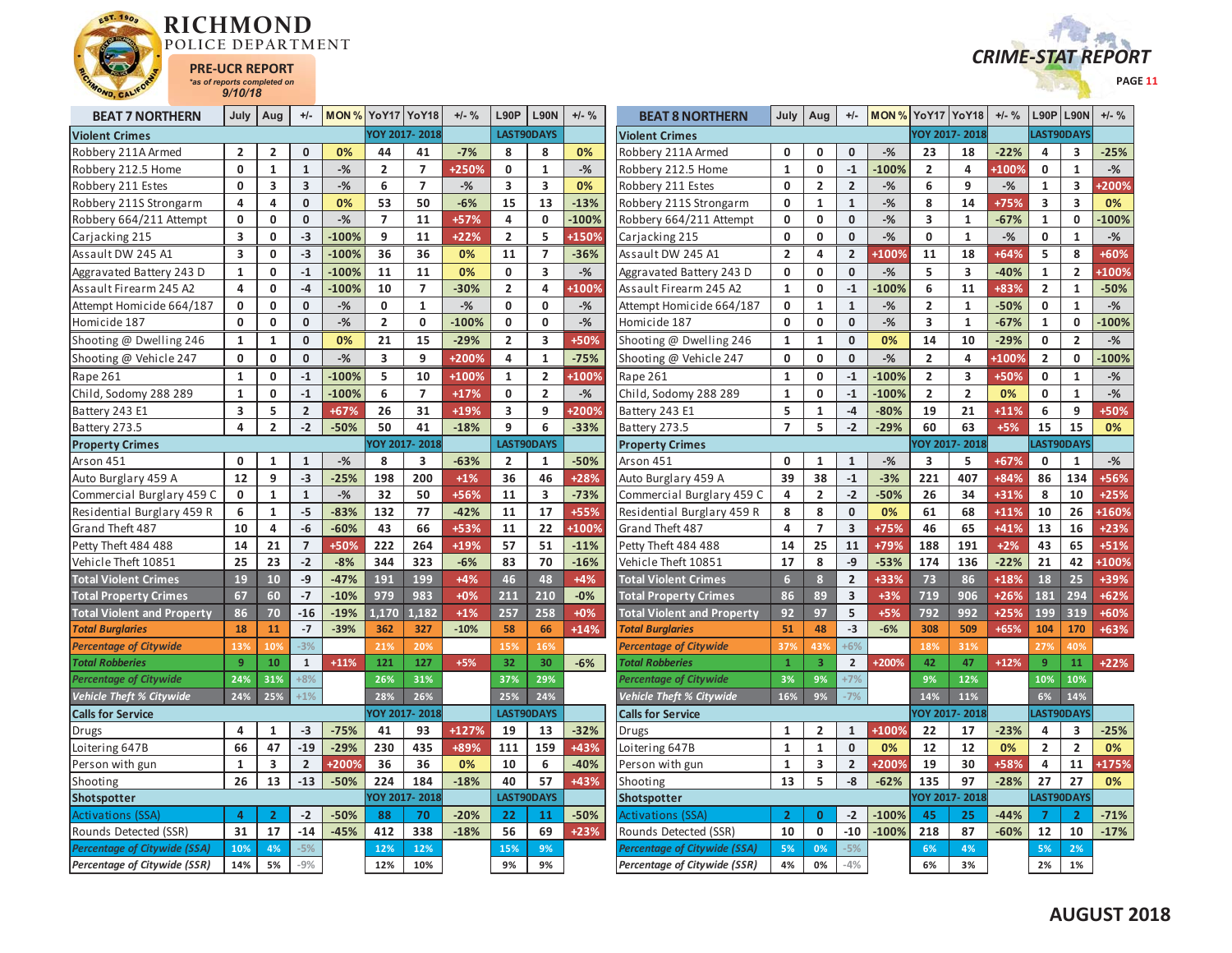



| <b>BEAT 7 NORTHERN</b>              | July                    | Aug                     | $+/-$                   |              | <b>MON % YoY17 YoY18</b> |                | $+/-$ % | L90P           | <b>L90N</b>              | $+/-$ %      | <b>BEAT 8 NORTHERN</b>            | July           | Aug            | $+/-$                   | MON % YoY17 YoY18 |                         |                | $+/-$ % | L90P           | <b>L90N</b>             | $+/-$ %        |
|-------------------------------------|-------------------------|-------------------------|-------------------------|--------------|--------------------------|----------------|---------|----------------|--------------------------|--------------|-----------------------------------|----------------|----------------|-------------------------|-------------------|-------------------------|----------------|---------|----------------|-------------------------|----------------|
| <b>Violent Crimes</b>               |                         |                         |                         |              |                          | YOY 2017-2018  |         |                | LAST90DAYS               |              | <b>Violent Crimes</b>             |                |                |                         |                   | YOY 2017-2018           |                |         | LAST90DAYS     |                         |                |
| Robbery 211A Armed                  | $\overline{\mathbf{c}}$ | $\overline{2}$          | $\Omega$                | 0%           | 44                       | 41             | $-7%$   | 8              | 8                        | 0%           | Robbery 211A Armed                | $\Omega$       | 0              | $\mathbf 0$             | $-%$              | 23                      | 18             | $-22%$  | 4              | 3                       | $-25%$         |
| Robbery 212.5 Home                  | 0                       | 1                       | $\mathbf{1}$            | $-$ %        | $\overline{2}$           | $\overline{7}$ | +250%   | 0              | $\mathbf{1}$             | $-$ %        | Robbery 212.5 Home                | 1              | 0              | $-1$                    | $-100%$           | $\overline{2}$          | 4              | +100%   | $\mathbf 0$    | $\mathbf{1}$            | $-$ %          |
| Robbery 211 Estes                   | 0                       | $\overline{\mathbf{3}}$ | $\overline{\mathbf{3}}$ | $-$ %        | 6                        | $\overline{7}$ | $-%$    | 3              | $\overline{\mathbf{3}}$  | 0%           | Robbery 211 Estes                 | 0              | $\overline{2}$ | $\overline{2}$          | $-$ %             | 6                       | 9              | $-$ %   | $\mathbf{1}$   | $\overline{\mathbf{3}}$ | +200%          |
| Robbery 211S Strongarm              | 4                       | $\overline{4}$          | $\mathbf{0}$            | 0%           | 53                       | 50             | $-6%$   | 15             | 13                       | $-13%$       | Robbery 211S Strongarm            | $\Omega$       | $\mathbf{1}$   | $\mathbf{1}$            | $-$ %             | 8                       | 14             | +75%    | 3              | 3                       | 0%             |
| Robbery 664/211 Attempt             | 0                       | 0                       | $\mathbf 0$             | $-$ %        | $\overline{7}$           | 11             | +57%    | 4              | $\mathbf 0$              | $-100%$      | Robbery 664/211 Attempt           | 0              | 0              | $\mathbf 0$             | $-$ %             | 3                       | $\mathbf{1}$   | $-67%$  | $\mathbf{1}$   | 0                       | $-100%$        |
| Carjacking 215                      | 3                       | 0                       | $-3$                    | $-100%$      | 9                        | 11             | +22%    | $\overline{2}$ | 5                        | <b>+150%</b> | Carjacking 215                    | 0              | 0              | $\mathbf 0$             | $-$ %             | 0                       | 1              | $-%$    | 0              | $\mathbf{1}$            | $-\frac{9}{6}$ |
| Assault DW 245 A1                   | 3                       | 0                       | $-3$                    | $-100%$      | 36                       | 36             | 0%      | 11             | $\overline{\phantom{a}}$ | $-36%$       | Assault DW 245 A1                 | $\overline{2}$ | 4              | $\overline{2}$          | +100%             | 11                      | 18             | +64%    | 5              | 8                       | $+60%$         |
| Aggravated Battery 243 D            | 1                       | 0                       | $-1$                    | $-100%$      | 11                       | 11             | 0%      | $\mathbf{0}$   | 3                        | $-$ %        | Aggravated Battery 243 D          | 0              | 0              | $\mathbf{0}$            | $-$ %             | 5                       | 3              | $-40%$  | $\mathbf{1}$   | $\overline{2}$          | +100%          |
| Assault Firearm 245 A2              | 4                       | $\mathbf 0$             | $-4$                    | $-100%$      | 10                       | $\overline{7}$ | $-30%$  | $\overline{2}$ | 4                        | +100%        | Assault Firearm 245 A2            | $\mathbf{1}$   | 0              | $-1$                    | $-100%$           | 6                       | 11             | +83%    | $\overline{2}$ | $\mathbf{1}$            | $-50%$         |
| Attempt Homicide 664/187            | 0                       | 0                       | $\mathbf{0}$            | $-%$         | $\mathbf 0$              | $\mathbf{1}$   | $-%$    | 0              | $\mathbf{0}$             | $-%$         | Attempt Homicide 664/187          | $\mathbf 0$    | $\mathbf{1}$   | $\mathbf{1}$            | $-%$              | $\overline{\mathbf{2}}$ | $\mathbf{1}$   | $-50%$  | $\mathbf 0$    | $\mathbf{1}$            | $-\frac{9}{6}$ |
| Homicide 187                        | 0                       | $\mathbf 0$             | $\mathbf{0}$            | $-$ %        | $\overline{2}$           | $\mathbf 0$    | $-100%$ | $\mathbf 0$    | 0                        | $-$ %        | Homicide 187                      | $\mathbf 0$    | 0              | $\mathbf 0$             | $-$ %             | 3                       | $\mathbf{1}$   | $-67%$  | $\mathbf{1}$   | 0                       | $-100%$        |
| Shooting @ Dwelling 246             | 1                       | $\mathbf{1}$            | $\mathbf{0}$            | 0%           | 21                       | 15             | $-29%$  | $\overline{2}$ | 3                        | +50%         | Shooting @ Dwelling 246           | 1              | $\mathbf{1}$   | $\mathbf{0}$            | 0%                | 14                      | 10             | $-29%$  | 0              | $\overline{2}$          | $-$ %          |
| Shooting @ Vehicle 247              | $\mathbf 0$             | $\mathbf 0$             | $\mathbf 0$             | $-$ %        | $\overline{\mathbf{3}}$  | 9              | +200%   | 4              | $\mathbf{1}$             | $-75%$       | Shooting @ Vehicle 247            | $\mathbf 0$    | 0              | $\mathbf{0}$            | $-$ %             | $\overline{2}$          | 4              | +100%   | $\overline{2}$ | 0                       | $-100%$        |
| Rape 261                            | $\mathbf{1}$            | 0                       | $-1$                    | $-100%$      | 5                        | 10             | $+100%$ | 1              | $\overline{2}$           | +100%        | Rape 261                          | 1              | 0              | $-1$                    | $-100%$           | $\overline{2}$          | 3              | +50%    | 0              | $\mathbf{1}$            | $-$ %          |
| Child, Sodomy 288 289               | 1                       | 0                       | $-1$                    | $-100%$      | 6                        | $\overline{7}$ | $+17%$  | $\mathbf{0}$   | $\overline{2}$           | $-$ %        | Child, Sodomy 288 289             | 1              | 0              | $-1$                    | $-100%$           | $\overline{2}$          | $\overline{2}$ | 0%      | $\mathbf{0}$   | $\mathbf{1}$            | $-$ %          |
| Battery 243 E1                      | 3                       | 5                       | $\overline{2}$          | +67%         | 26                       | 31             | +19%    | 3              | 9                        | <b>+200%</b> | Battery 243 E1                    | 5              | $\mathbf{1}$   | $-4$                    | $-80%$            | 19                      | 21             | $+11%$  | 6              | 9                       | +50%           |
| Battery 273.5                       | $\overline{\mathbf{4}}$ | $\overline{2}$          | $-2$                    | $-50%$       | 50                       | 41             | $-18%$  | 9              | 6                        | $-33%$       | Battery 273.5                     | $\overline{7}$ | 5              | $-2$                    | $-29%$            | 60                      | 63             | $+5%$   | 15             | 15                      | 0%             |
| <b>Property Crimes</b>              |                         |                         |                         |              |                          | OY 2017-2018   |         |                | LAST90DAYS               |              | <b>Property Crimes</b>            |                |                |                         |                   |                         | YOY 2017-2018  |         |                | LAST90DAYS              |                |
| Arson 451                           | 0                       | $\mathbf{1}$            | $\mathbf{1}$            | $-%$         | 8                        | 3              | $-63%$  | $\overline{2}$ | $\mathbf{1}$             | $-50%$       | Arson 451                         | $\mathbf 0$    | $\mathbf{1}$   | $\mathbf{1}$            | $-%$              | 3                       | 5              | +67%    | $\mathbf 0$    | $\mathbf{1}$            | $-$ %          |
| Auto Burglary 459 A                 | 12                      | 9                       | $-3$                    | $-25%$       | 198                      | 200            | $+1%$   | 36             | 46                       | +28%         | Auto Burglary 459 A               | 39             | 38             | $-1$                    | $-3%$             | 221                     | 407            | +84%    | 86             | 134                     | +56%           |
| Commercial Burglary 459 C           | 0                       | $\mathbf{1}$            | $\mathbf{1}$            | $-$ %        | 32                       | 50             | +56%    | 11             | 3                        | $-73%$       | Commercial Burglary 459 C         | 4              | $\overline{2}$ | $-2$                    | $-50%$            | 26                      | 34             | +31%    | 8              | 10                      | $+25%$         |
| Residential Burglary 459 R          | 6                       | $\mathbf{1}$            | $-5$                    | $-83%$       | 132                      | 77             | $-42%$  | 11             | 17                       | +55%         | Residential Burglary 459 R        | 8              | 8              | $\mathbf 0$             | 0%                | 61                      | 68             | $+11%$  | 10             | 26                      | +160%          |
| Grand Theft 487                     | 10                      | 4                       | -6                      | $-60%$       | 43                       | 66             | +53%    | 11             | 22                       | +100%        | Grand Theft 487                   | 4              | $\overline{7}$ | $\overline{\mathbf{3}}$ | $+75%$            | 46                      | 65             | +41%    | 13             | 16                      | $+23%$         |
| Petty Theft 484 488                 | 14                      | 21                      | $\overline{7}$          | +50%         | 222                      | 264            | +19%    | 57             | 51                       | $-11%$       | Petty Theft 484 488               | 14             | 25             | 11                      | +79%              | 188                     | 191            | $+2%$   | 43             | 65                      | $+51%$         |
| Vehicle Theft 10851                 | 25                      | 23                      | $-2$                    | $-8%$        | 344                      | 323            | $-6%$   | 83             | 70                       | $-16%$       | Vehicle Theft 10851               | 17             | 8              | $-9$                    | $-53%$            | 174                     | 136            | $-22%$  | 21             | 42                      | +100%          |
| <b>Total Violent Crimes</b>         | 19                      | 10                      | $-9$                    | $-47%$       | 191                      | 199            | $+4%$   | 46             | 48                       | $+4%$        | <b>Total Violent Crimes</b>       | $6\phantom{1}$ | 8 <sup>2</sup> | $\overline{2}$          | +33%              | 73                      | 86             | +18%    | 18             | 25                      | +39%           |
| <b>Total Property Crimes</b>        | 67                      | 60                      | $-7$                    | $-10%$       | 979                      | 983            | $+0%$   | 211            | 210                      | $-0%$        | <b>Total Property Crimes</b>      | 86             | 89             | $\overline{\mathbf{3}}$ | $+3%$             | 719                     | 906            | +26%    | 181            | 294                     | $+62%$         |
| <b>Total Violent and Property</b>   | 86                      | 70                      | $-16$                   | $-19%$       | 1.170                    | 1.182          | $+1%$   | 257            | 258                      | $+0%$        | <b>Total Violent and Property</b> | 92             | 97             | 5                       | $+5%$             | 792                     | 992            | $+25%$  | 199            | 319                     | +60%           |
| <b>Total Burglaries</b>             | 18                      | 11                      | $-7$                    | $-39%$       | 362                      | 327            | $-10%$  | 58             | 66                       | $+14%$       | <b>Total Burglaries</b>           | 51             | 48             | $-3$                    | $-6%$             | 308                     | 509            | $+65%$  | 104            | 170                     | +63%           |
| <b>Percentage of Citywide</b>       | 13%                     | 10%                     | $-3%$                   |              | 21%                      | 20%            |         | 15%            | 16%                      |              | <b>Percentage of Citywide</b>     | 379            | 43%            | $+6%$                   |                   | 18%                     | 31%            |         | 27%            | 40%                     |                |
| <b>Total Robberies</b>              | $\overline{9}$          | 10                      | $\mathbf{1}$            | $+11%$       | 121                      | 127            | $+5%$   | 32             | 30                       | $-6%$        | <b>Total Robberies</b>            | $\mathbf{1}$   | $\overline{3}$ | $\overline{2}$          | +200%             | 42                      | 47             | $+12%$  | 9              | 11                      | $+22%$         |
| <b>Percentage of Citywide</b>       | 24%                     | 31%                     | $+8%$                   |              | 26%                      | 31%            |         | 37%            | 29%                      |              | <b>Percentage of Citywide</b>     | 3%             | 9%             | $+7%$                   |                   | 9%                      | 12%            |         | 10%            | 10%                     |                |
| <b>Vehicle Theft % Citywide</b>     | 24%                     | 25%                     | $+1%$                   |              | 28%                      | 26%            |         | 25%            | 24%                      |              | <b>Vehicle Theft % Citywide</b>   | 16%            | 9%             | $-7%$                   |                   | 14%                     | 11%            |         | 6%             | 14%                     |                |
| <b>Calls for Service</b>            |                         |                         |                         |              |                          | OY 2017-2018   |         |                | LAST90DAYS               |              | <b>Calls for Service</b>          |                |                |                         |                   |                         | YOY 2017-2018  |         |                | LAST90DAYS              |                |
| Drugs                               | 4                       | 1                       | $-3$                    | $-75%$       | 41                       | 93             | +127%   | 19             | 13                       | $-32%$       | Drugs                             | $\mathbf{1}$   | $\overline{2}$ | $\mathbf{1}$            | +100%             | 22                      | 17             | $-23%$  | 4              | 3                       | $-25%$         |
| Loitering 647B                      | 66                      | 47                      | $-19$                   | $-29%$       | 230                      | 435            | +89%    | 111            | 159                      | +43%         | Loitering 647B                    | 1              | $\mathbf{1}$   | $\mathbf{0}$            | 0%                | 12                      | 12             | 0%      | $\overline{2}$ | $\overline{2}$          | 0%             |
| Person with gun                     | $\mathbf{1}$            | 3                       | $\overline{2}$          | <b>+200%</b> | 36                       | 36             | 0%      | 10             | 6                        | $-40%$       | Person with gun                   | $\mathbf{1}$   | 3              | $\overline{2}$          | +200%             | 19                      | 30             | +58%    | 4              | 11                      | +175%          |
| Shooting                            | 26                      | 13                      | $-13$                   | $-50%$       | 224                      | 184            | $-18%$  | 40             | 57                       | +43%         | Shooting                          | 13             | 5              | -8                      | $-62%$            | 135                     | 97             | $-28%$  | 27             | 27                      | 0%             |
| Shotspotter                         |                         |                         |                         |              |                          | OY 2017-2018   |         |                | LAST90DAYS               |              | Shotspotter                       |                |                |                         |                   | YOY 2017-2018           |                |         |                | LAST90DAYS              |                |
| <b>Activations (SSA)</b>            | 4                       | $\overline{2}$          | $-2$                    | -50%         | 88                       | 70             | $-20%$  | 22             | 11                       | $-50%$       | Activations (SSA)                 | $\overline{2}$ | $\mathbf{0}$   | $-2$                    | $-100%$           | 45                      | 25             | $-44%$  | 7              | $\mathbf{2}$            | $-71%$         |
| Rounds Detected (SSR)               | 31                      | 17                      | $-14$                   | $-45%$       | 412                      | 338            | $-18%$  | 56             | 69                       | $+23%$       | Rounds Detected (SSR)             | 10             | 0              | $-10$                   | $-100%$           | 218                     | 87             | -60%    | 12             | 10                      | $-17%$         |
| <b>Percentage of Citywide (SSA)</b> | 10%                     | 4%                      | $-5%$                   |              | 12%                      | 12%            |         | 15%            | 9%                       |              | Percentage of Citywide (SSA)      | 5%             | 0%             | $-5%$                   |                   | 6%                      | 4%             |         | 5%             | 2%                      |                |
| Percentage of Citywide (SSR)        | 14%                     | 5%                      | $-9%$                   |              | 12%                      | 10%            |         | 9%             | 9%                       |              | Percentage of Citywide (SSR)      | 4%             | 0%             | $-4%$                   |                   | 6%                      | 3%             |         | 2%             | 1%                      |                |